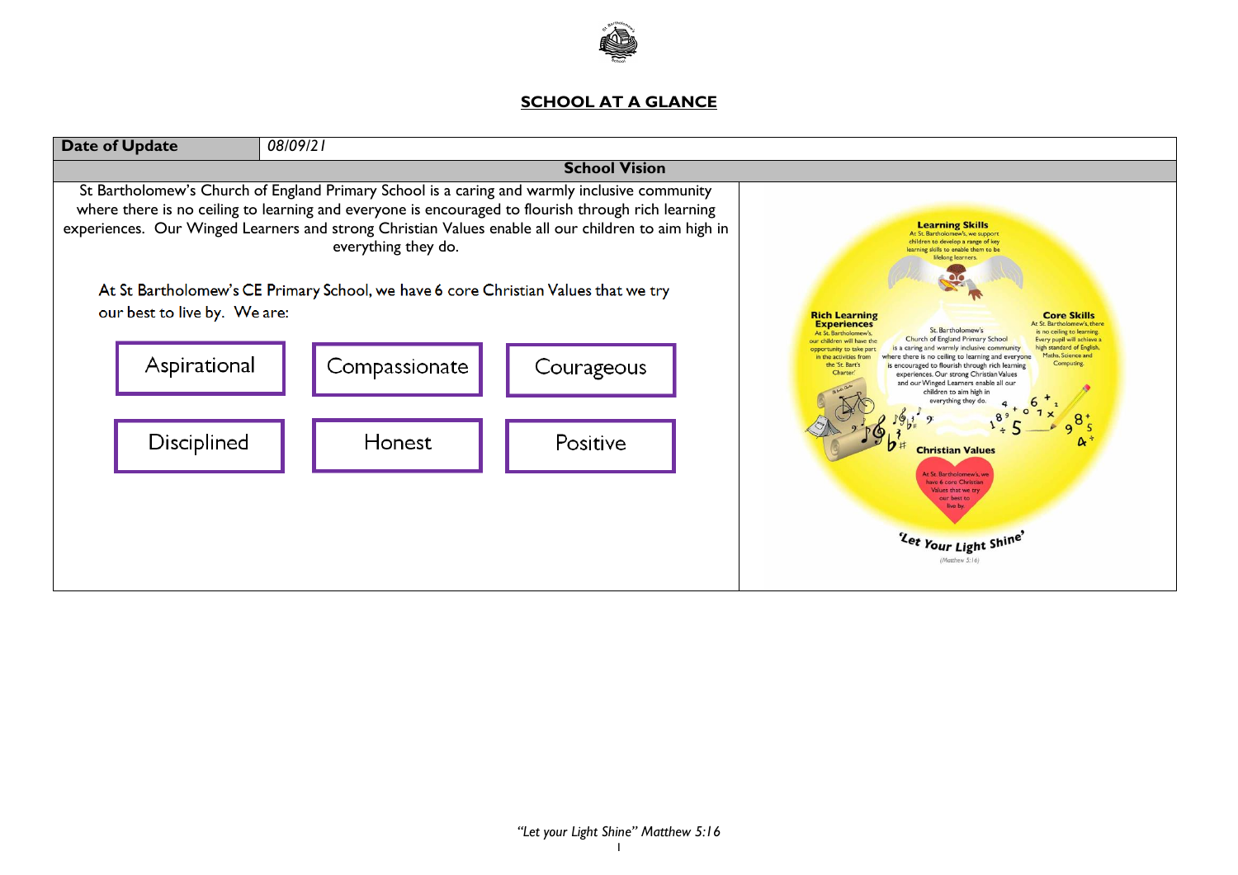

## **SCHOOL AT A GLANCE**

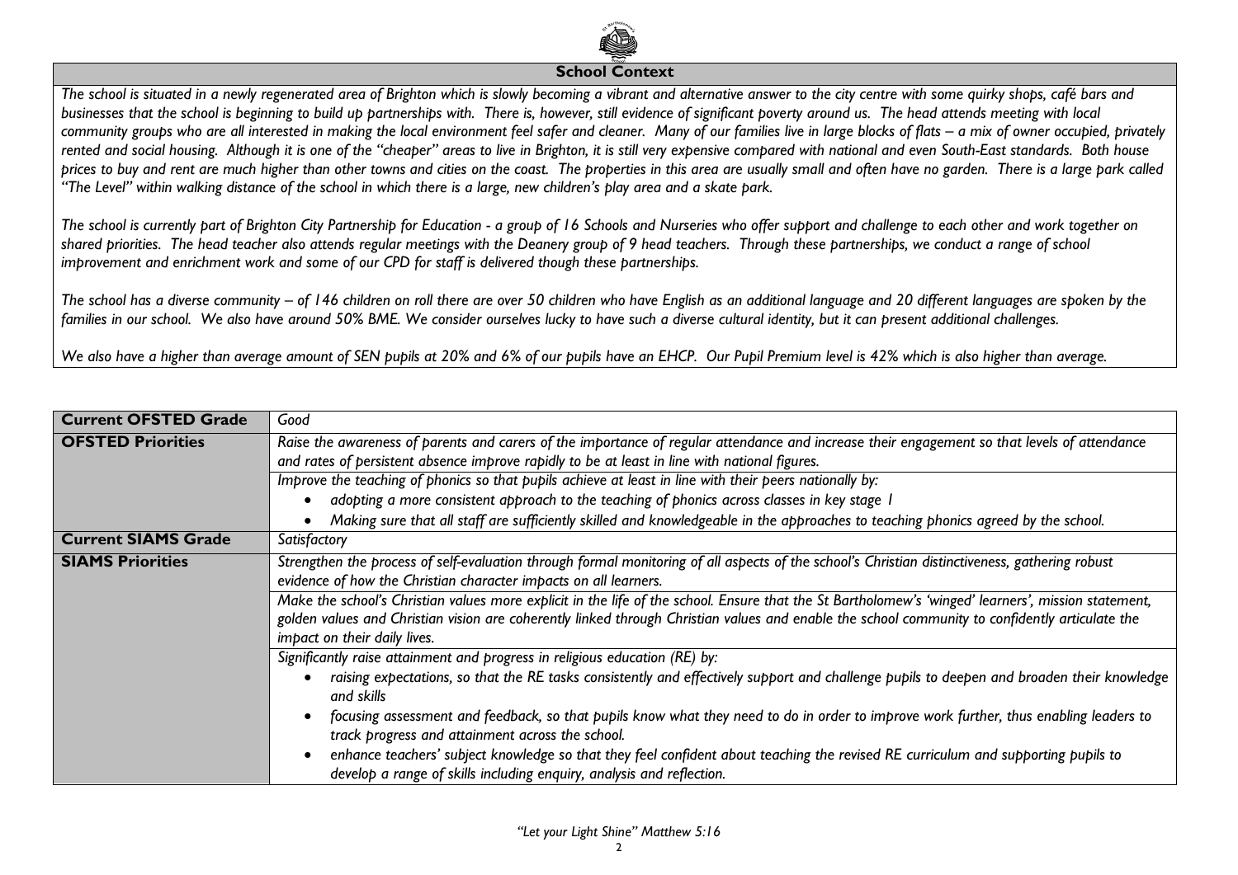

## **School Context**

*The school is situated in a newly regenerated area of Brighton which is slowly becoming a vibrant and alternative answer to the city centre with some quirky shops, café bars and businesses that the school is beginning to build up partnerships with. There is, however, still evidence of significant poverty around us. The head attends meeting with local*  community groups who are all interested in making the local environment feel safer and cleaner. Many of our families live in large blocks of flats – a mix of owner occupied, privately *rented and social housing. Although it is one of the "cheaper" areas to live in Brighton, it is still very expensive compared with national and even South-East standards. Both house prices to buy and rent are much higher than other towns and cities on the coast. The properties in this area are usually small and often have no garden. There is a large park called "The Level" within walking distance of the school in which there is a large, new children's play area and a skate park.* 

*The school is currently part of Brighton City Partnership for Education - a group of 16 Schools and Nurseries who offer support and challenge to each other and work together on shared priorities. The head teacher also attends regular meetings with the Deanery group of 9 head teachers. Through these partnerships, we conduct a range of school improvement and enrichment work and some of our CPD for staff is delivered though these partnerships.*

*The school has a diverse community – of 146 children on roll there are over 50 children who have English as an additional language and 20 different languages are spoken by the families in our school. We also have around 50% BME. We consider ourselves lucky to have such a diverse cultural identity, but it can present additional challenges.* 

*We also have a higher than average amount of SEN pupils at 20% and 6% of our pupils have an EHCP. Our Pupil Premium level is 42% which is also higher than average.*

| <b>Current OFSTED Grade</b> | Good                                                                                                                                                                                                                                                                                                                                   |
|-----------------------------|----------------------------------------------------------------------------------------------------------------------------------------------------------------------------------------------------------------------------------------------------------------------------------------------------------------------------------------|
| <b>OFSTED Priorities</b>    | Raise the awareness of parents and carers of the importance of regular attendance and increase their engagement so that levels of attendance<br>and rates of persistent absence improve rapidly to be at least in line with national figures.                                                                                          |
|                             | Improve the teaching of phonics so that pupils achieve at least in line with their peers nationally by:                                                                                                                                                                                                                                |
|                             | adopting a more consistent approach to the teaching of phonics across classes in key stage I<br>Making sure that all staff are sufficiently skilled and knowledgeable in the approaches to teaching phonics agreed by the school.                                                                                                      |
| <b>Current SIAMS Grade</b>  | Satisfactory                                                                                                                                                                                                                                                                                                                           |
| <b>SIAMS Priorities</b>     | Strengthen the process of self-evaluation through formal monitoring of all aspects of the school's Christian distinctiveness, gathering robust<br>evidence of how the Christian character impacts on all learners.                                                                                                                     |
|                             | Make the school's Christian values more explicit in the life of the school. Ensure that the St Bartholomew's 'winged' learners', mission statement,<br>golden values and Christian vision are coherently linked through Christian values and enable the school community to confidently articulate the<br>impact on their daily lives. |
|                             | Significantly raise attainment and progress in religious education (RE) by:                                                                                                                                                                                                                                                            |
|                             | raising expectations, so that the RE tasks consistently and effectively support and challenge pupils to deepen and broaden their knowledge<br>and skills                                                                                                                                                                               |
|                             | focusing assessment and feedback, so that pupils know what they need to do in order to improve work further, thus enabling leaders to<br>track progress and attainment across the school.                                                                                                                                              |
|                             | enhance teachers' subject knowledge so that they feel confident about teaching the revised RE curriculum and supporting pupils to<br>develop a range of skills including enquiry, analysis and reflection.                                                                                                                             |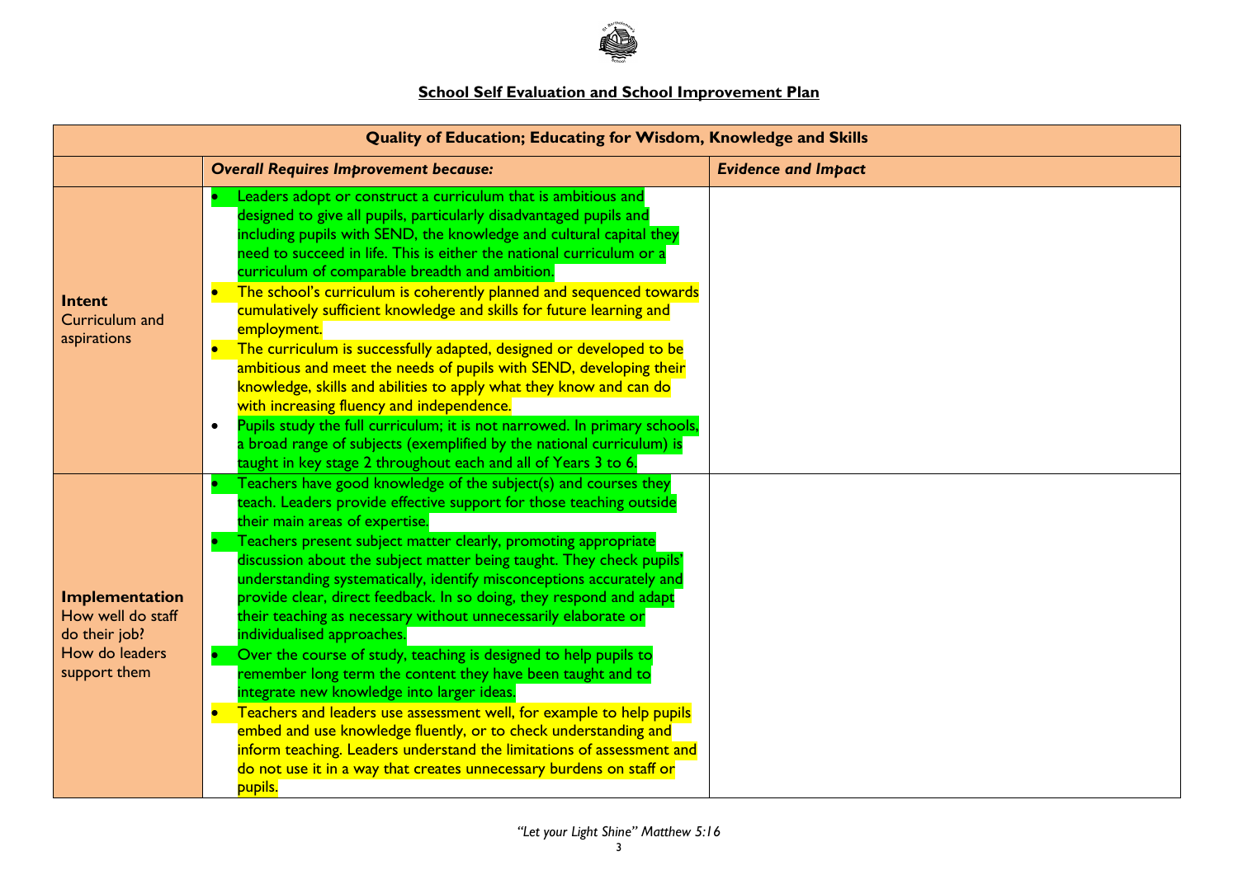

## **School Self Evaluation and School Improvement Plan**

|                                                                                        | <b>Quality of Education; Educating for Wisdom, Knowledge and Skills</b>                                                                                                                                                                                                                                                                                                                                                                                                                                                                                                                                                                                                                                                                                                                                                                                                                                                                                                                                                                                               |                            |  |  |  |
|----------------------------------------------------------------------------------------|-----------------------------------------------------------------------------------------------------------------------------------------------------------------------------------------------------------------------------------------------------------------------------------------------------------------------------------------------------------------------------------------------------------------------------------------------------------------------------------------------------------------------------------------------------------------------------------------------------------------------------------------------------------------------------------------------------------------------------------------------------------------------------------------------------------------------------------------------------------------------------------------------------------------------------------------------------------------------------------------------------------------------------------------------------------------------|----------------------------|--|--|--|
|                                                                                        | <b>Overall Requires Improvement because:</b>                                                                                                                                                                                                                                                                                                                                                                                                                                                                                                                                                                                                                                                                                                                                                                                                                                                                                                                                                                                                                          | <b>Evidence and Impact</b> |  |  |  |
| Intent<br>Curriculum and<br>aspirations                                                | Leaders adopt or construct a curriculum that is ambitious and<br>designed to give all pupils, particularly disadvantaged pupils and<br>including pupils with SEND, the knowledge and cultural capital they<br>need to succeed in life. This is either the national curriculum or a<br>curriculum of comparable breadth and ambition.<br>The school's curriculum is coherently planned and sequenced towards<br>$\bullet$<br>cumulatively sufficient knowledge and skills for future learning and<br>employment.<br>The curriculum is successfully adapted, designed or developed to be<br>$\bullet$<br>ambitious and meet the needs of pupils with SEND, developing their<br>knowledge, skills and abilities to apply what they know and can do<br>with increasing fluency and independence.<br>Pupils study the full curriculum; it is not narrowed. In primary schools,<br>$\bullet$<br>a broad range of subjects (exemplified by the national curriculum) is<br>taught in key stage 2 throughout each and all of Years 3 to 6.                                     |                            |  |  |  |
| Implementation<br>How well do staff<br>do their job?<br>How do leaders<br>support them | Teachers have good knowledge of the subject(s) and courses they<br>teach. Leaders provide effective support for those teaching outside<br>their main areas of expertise.<br>Teachers present subject matter clearly, promoting appropriate<br>discussion about the subject matter being taught. They check pupils'<br>understanding systematically, identify misconceptions accurately and<br>provide clear, direct feedback. In so doing, they respond and adapt<br>their teaching as necessary without unnecessarily elaborate or<br>individualised approaches.<br>Over the course of study, teaching is designed to help pupils to<br>remember long term the content they have been taught and to<br>integrate new knowledge into larger ideas.<br>Teachers and leaders use assessment well, for example to help pupils<br>$\bullet$<br>embed and use knowledge fluently, or to check understanding and<br>inform teaching. Leaders understand the limitations of assessment and<br>do not use it in a way that creates unnecessary burdens on staff or<br>pupils. |                            |  |  |  |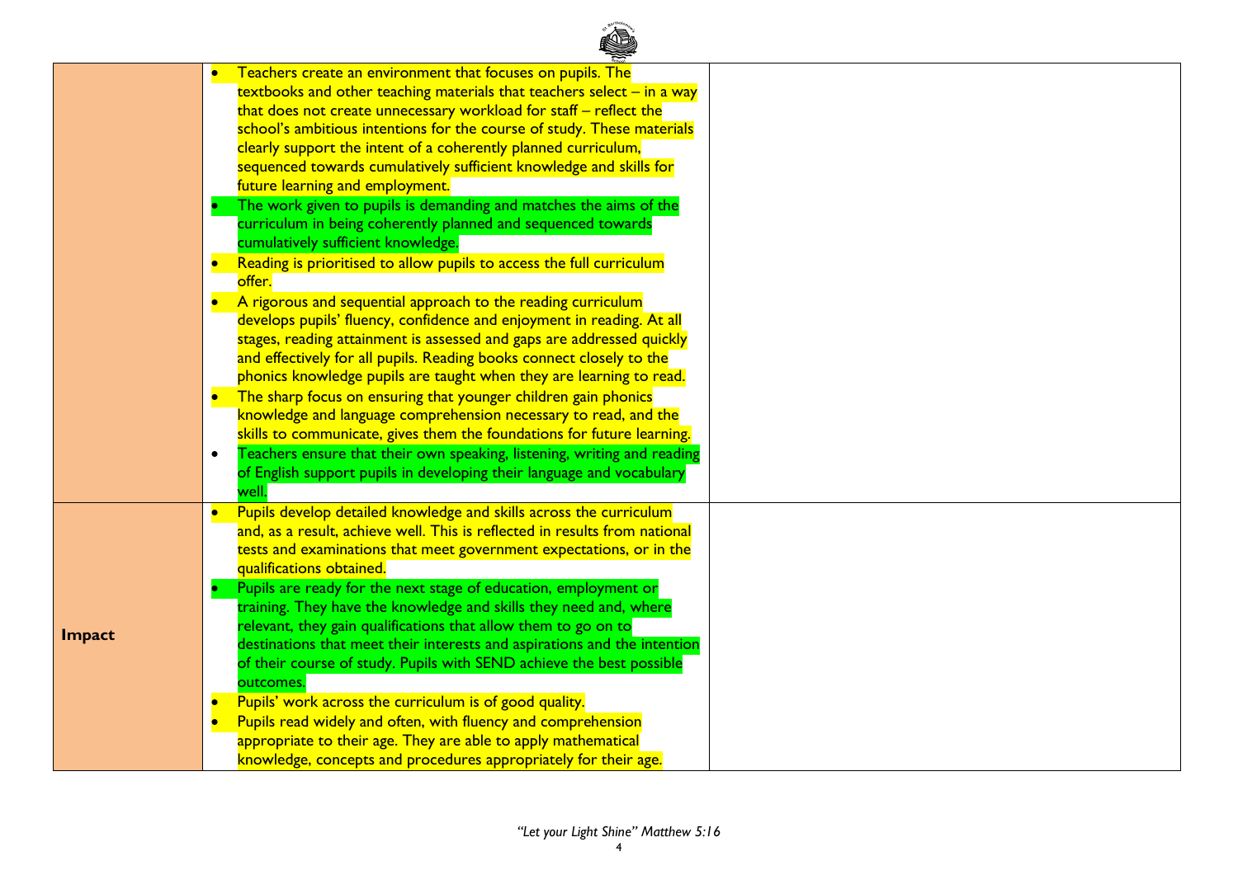|               |           | Teachers create an environment that focuses on pupils. The                           |  |
|---------------|-----------|--------------------------------------------------------------------------------------|--|
|               |           | $\frac{1}{2}$ textbooks and other teaching materials that teachers select – in a way |  |
|               |           | that does not create unnecessary workload for staff - reflect the                    |  |
|               |           | school's ambitious intentions for the course of study. These materials               |  |
|               |           | clearly support the intent of a coherently planned curriculum,                       |  |
|               |           | sequenced towards cumulatively sufficient knowledge and skills for                   |  |
|               |           | future learning and employment.                                                      |  |
|               |           | The work given to pupils is demanding and matches the aims of the                    |  |
|               |           | curriculum in being coherently planned and sequenced towards                         |  |
|               |           | cumulatively sufficient knowledge.                                                   |  |
|               |           | Reading is prioritised to allow pupils to access the full curriculum                 |  |
|               |           | offer.                                                                               |  |
|               |           | A rigorous and sequential approach to the reading curriculum                         |  |
|               |           | develops pupils' fluency, confidence and enjoyment in reading. At all                |  |
|               |           | stages, reading attainment is assessed and gaps are addressed quickly                |  |
|               |           | and effectively for all pupils. Reading books connect closely to the                 |  |
|               |           | phonics knowledge pupils are taught when they are learning to read.                  |  |
|               |           | • The sharp focus on ensuring that younger children gain phonics                     |  |
|               |           | knowledge and language comprehension necessary to read, and the                      |  |
|               |           | skills to communicate, gives them the foundations for future learning.               |  |
|               | $\bullet$ | Teachers ensure that their own speaking, listening, writing and reading              |  |
|               |           | of English support pupils in developing their language and vocabulary                |  |
|               |           | well.                                                                                |  |
|               |           | Pupils develop detailed knowledge and skills across the curriculum                   |  |
|               |           | and, as a result, achieve well. This is reflected in results from national           |  |
|               |           | tests and examinations that meet government expectations, or in the                  |  |
|               |           | qualifications obtained.                                                             |  |
|               |           | Pupils are ready for the next stage of education, employment or                      |  |
|               |           | training. They have the knowledge and skills they need and, where                    |  |
|               |           | relevant, they gain qualifications that allow them to go on to                       |  |
| <b>Impact</b> |           | destinations that meet their interests and aspirations and the intention             |  |
|               |           | of their course of study. Pupils with SEND achieve the best possible                 |  |
|               |           | outcomes.                                                                            |  |
|               |           | Pupils' work across the curriculum is of good quality.                               |  |
|               |           | Pupils read widely and often, with fluency and comprehension                         |  |
|               |           | appropriate to their age. They are able to apply mathematical                        |  |
|               |           | knowledge, concepts and procedures appropriately for their age.                      |  |
|               |           |                                                                                      |  |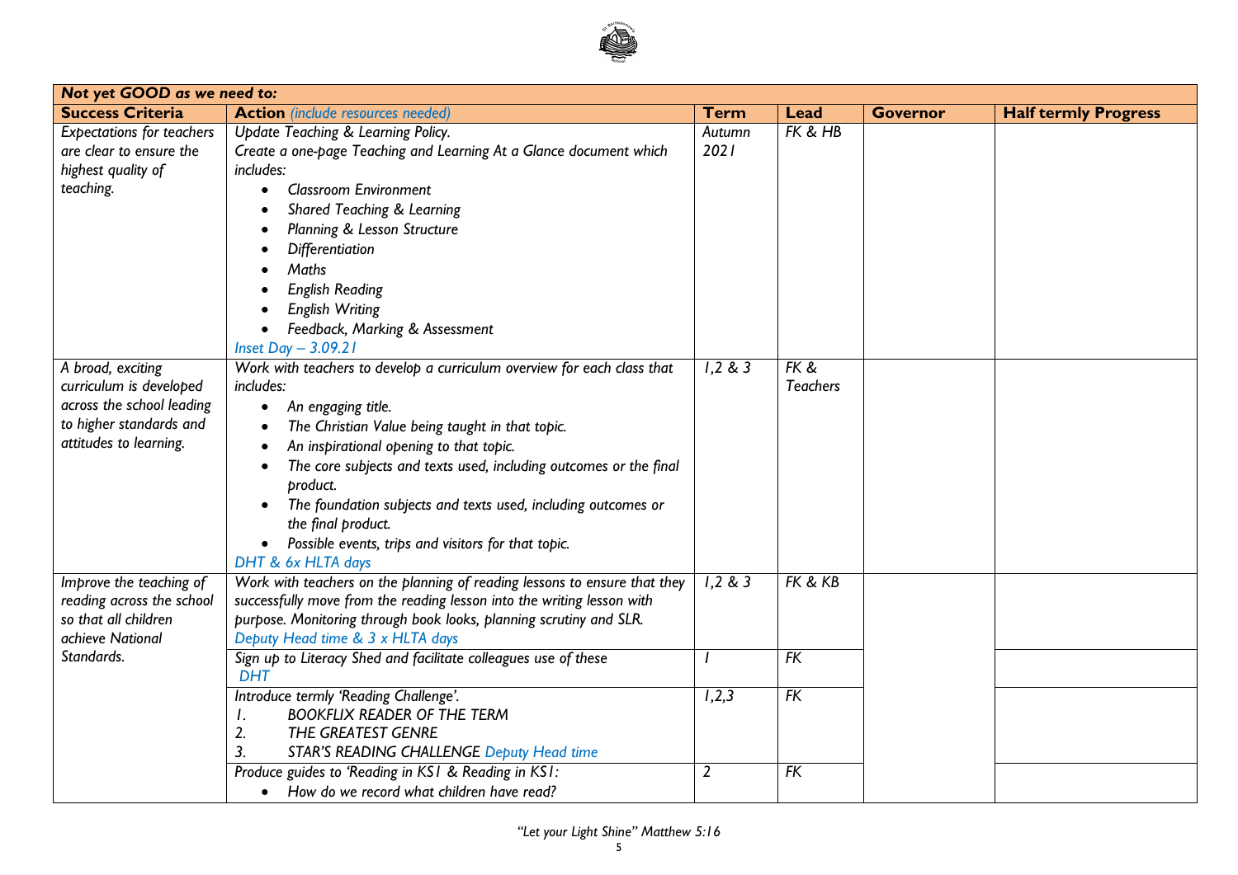

| Not yet GOOD as we need to:                                                                                                    |                                                                                                                                                                                                                                                                                                                                                                                                                                                                                                                                      |                |                         |                 |                             |
|--------------------------------------------------------------------------------------------------------------------------------|--------------------------------------------------------------------------------------------------------------------------------------------------------------------------------------------------------------------------------------------------------------------------------------------------------------------------------------------------------------------------------------------------------------------------------------------------------------------------------------------------------------------------------------|----------------|-------------------------|-----------------|-----------------------------|
| <b>Success Criteria</b>                                                                                                        | <b>Action</b> (include resources needed)                                                                                                                                                                                                                                                                                                                                                                                                                                                                                             | Term           | <b>Lead</b>             | <b>Governor</b> | <b>Half termly Progress</b> |
| <b>Expectations for teachers</b><br>are clear to ensure the<br>highest quality of<br>teaching.                                 | Update Teaching & Learning Policy.<br>Create a one-page Teaching and Learning At a Glance document which<br>includes:<br><b>Classroom Environment</b><br>Shared Teaching & Learning<br>Planning & Lesson Structure<br>Differentiation<br>Maths<br><b>English Reading</b><br><b>English Writing</b>                                                                                                                                                                                                                                   | Autumn<br>2021 | FK & HB                 |                 |                             |
| A broad, exciting<br>curriculum is developed<br>across the school leading<br>to higher standards and<br>attitudes to learning. | Feedback, Marking & Assessment<br>Inset Day $-3.09.21$<br>Work with teachers to develop a curriculum overview for each class that<br>includes:<br>An engaging title.<br>$\bullet$<br>The Christian Value being taught in that topic.<br>An inspirational opening to that topic.<br>The core subjects and texts used, including outcomes or the final<br>product.<br>The foundation subjects and texts used, including outcomes or<br>the final product.<br>Possible events, trips and visitors for that topic.<br>DHT & 6x HLTA days | 1,2 & 3        | FK &<br><b>Teachers</b> |                 |                             |
| Improve the teaching of<br>reading across the school<br>so that all children<br>achieve National                               | Work with teachers on the planning of reading lessons to ensure that they<br>successfully move from the reading lesson into the writing lesson with<br>purpose. Monitoring through book looks, planning scrutiny and SLR.<br>Deputy Head time & 3 x HLTA days                                                                                                                                                                                                                                                                        | 1,2 & 3        | FK & KB                 |                 |                             |
| Standards.                                                                                                                     | Sign up to Literacy Shed and facilitate colleagues use of these<br><b>DHT</b><br>Introduce termly 'Reading Challenge'.<br><b>BOOKFLIX READER OF THE TERM</b><br>Ι.<br>2.<br>THE GREATEST GENRE<br>3.<br><b>STAR'S READING CHALLENGE Deputy Head time</b>                                                                                                                                                                                                                                                                             | 1,2,3          | $\overline{FK}$<br>FK   |                 |                             |
|                                                                                                                                | Produce guides to 'Reading in KS1 & Reading in KS1:<br>• How do we record what children have read?                                                                                                                                                                                                                                                                                                                                                                                                                                   | $\overline{2}$ | FK                      |                 |                             |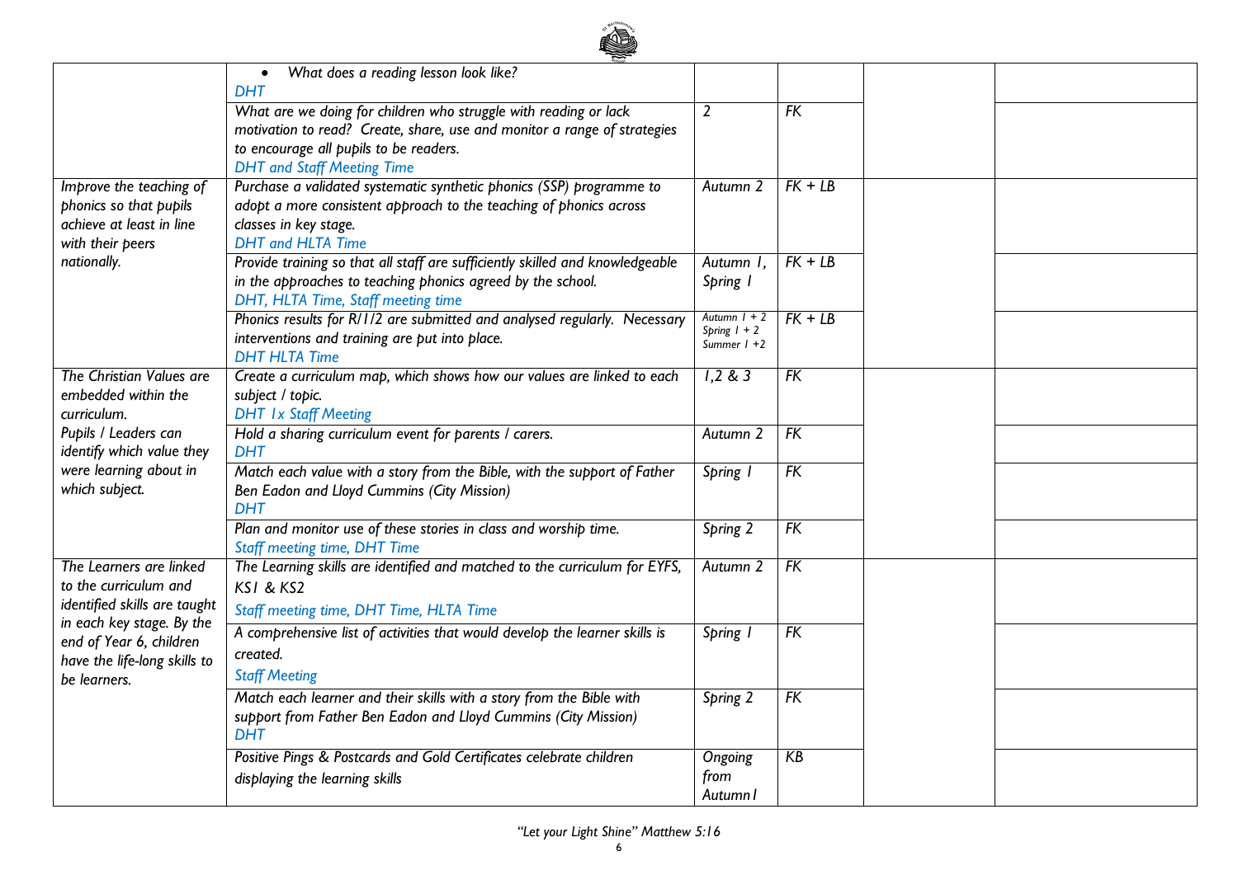

|                                                           | What does a reading lesson look like?                                                                                       |                     |                 |  |
|-----------------------------------------------------------|-----------------------------------------------------------------------------------------------------------------------------|---------------------|-----------------|--|
|                                                           | <b>DHT</b>                                                                                                                  |                     |                 |  |
|                                                           | What are we doing for children who struggle with reading or lack                                                            | $\overline{2}$      | FK              |  |
|                                                           | motivation to read? Create, share, use and monitor a range of strategies<br>to encourage all pupils to be readers.          |                     |                 |  |
|                                                           | <b>DHT</b> and Staff Meeting Time                                                                                           |                     |                 |  |
| Improve the teaching of                                   | Purchase a validated systematic synthetic phonics (SSP) programme to                                                        | Autumn 2            | $FK + LB$       |  |
| phonics so that pupils                                    | adopt a more consistent approach to the teaching of phonics across                                                          |                     |                 |  |
| achieve at least in line                                  | classes in key stage.                                                                                                       |                     |                 |  |
| with their peers                                          | <b>DHT</b> and <b>HLTA</b> Time                                                                                             |                     |                 |  |
| nationally.                                               | Provide training so that all staff are sufficiently skilled and knowledgeable                                               | Autumn I,           | $FK + LB$       |  |
|                                                           | in the approaches to teaching phonics agreed by the school.                                                                 | Spring 1            |                 |  |
|                                                           | DHT, HLTA Time, Staff meeting time                                                                                          | Autumn $1 + 2$      | $FK + LB$       |  |
|                                                           | Phonics results for R/1/2 are submitted and analysed regularly. Necessary<br>interventions and training are put into place. | Spring $1 + 2$      |                 |  |
|                                                           | <b>DHT HLTA Time</b>                                                                                                        | Summer $1 + 2$      |                 |  |
| The Christian Values are                                  | Create a curriculum map, which shows how our values are linked to each                                                      | 1,2 & 3             | FK              |  |
| embedded within the                                       | subject / topic.                                                                                                            |                     |                 |  |
| curriculum.                                               | <b>DHT Ix Staff Meeting</b>                                                                                                 |                     |                 |  |
| Pupils / Leaders can                                      | Hold a sharing curriculum event for parents / carers.                                                                       | Autumn 2            | $\overline{FK}$ |  |
| identify which value they<br>were learning about in       | <b>DHT</b><br>Match each value with a story from the Bible, with the support of Father                                      |                     | FK              |  |
| which subject.                                            | Ben Eadon and Lloyd Cummins (City Mission)                                                                                  | Spring I            |                 |  |
|                                                           | <b>DHT</b>                                                                                                                  |                     |                 |  |
|                                                           | Plan and monitor use of these stories in class and worship time.                                                            | Spring 2            | FK              |  |
|                                                           | <b>Staff meeting time, DHT Time</b>                                                                                         |                     |                 |  |
| The Learners are linked                                   | The Learning skills are identified and matched to the curriculum for EYFS,                                                  | Autumn <sub>2</sub> | FK              |  |
| to the curriculum and                                     | KSI & KS2                                                                                                                   |                     |                 |  |
| identified skills are taught<br>in each key stage. By the | Staff meeting time, DHT Time, HLTA Time                                                                                     |                     |                 |  |
| end of Year 6, children                                   | A comprehensive list of activities that would develop the learner skills is                                                 | Spring 1            | $\overline{FK}$ |  |
| have the life-long skills to                              | created.                                                                                                                    |                     |                 |  |
| be learners.                                              | <b>Staff Meeting</b>                                                                                                        |                     |                 |  |
|                                                           | Match each learner and their skills with a story from the Bible with                                                        | Spring 2            | FK              |  |
|                                                           | support from Father Ben Eadon and Lloyd Cummins (City Mission)                                                              |                     |                 |  |
|                                                           | <b>DHT</b>                                                                                                                  |                     |                 |  |
|                                                           | Positive Pings & Postcards and Gold Certificates celebrate children                                                         | Ongoing             | KB              |  |
|                                                           | displaying the learning skills                                                                                              | from<br>Autumn I    |                 |  |
|                                                           |                                                                                                                             |                     |                 |  |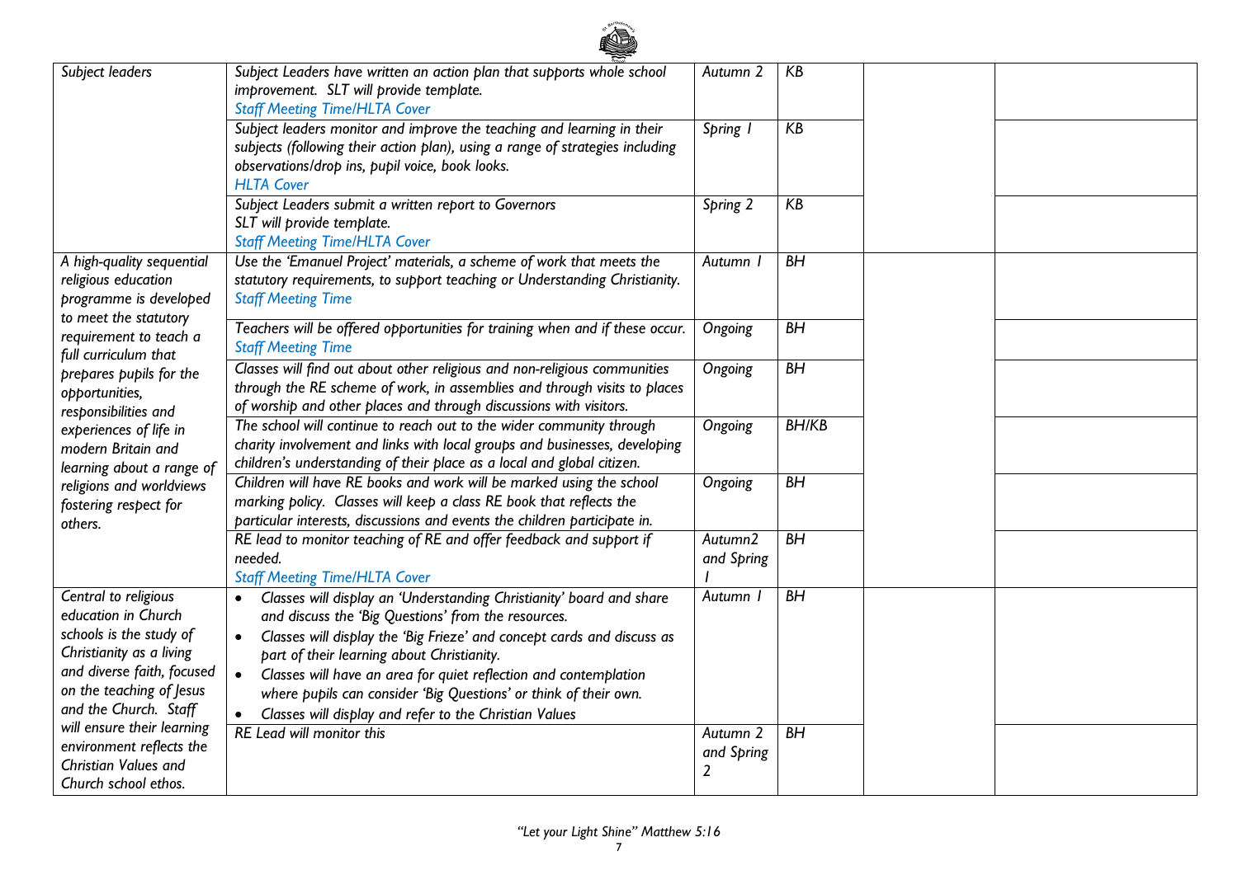| Subject leaders                                                                                                                                                                       | Subject Leaders have written an action plan that supports whole school<br>improvement. SLT will provide template.<br><b>Staff Meeting Time/HLTA Cover</b>                                                                                                                                                                                                                                                                                                                       | Autumn 2                                            | KB           |  |
|---------------------------------------------------------------------------------------------------------------------------------------------------------------------------------------|---------------------------------------------------------------------------------------------------------------------------------------------------------------------------------------------------------------------------------------------------------------------------------------------------------------------------------------------------------------------------------------------------------------------------------------------------------------------------------|-----------------------------------------------------|--------------|--|
|                                                                                                                                                                                       | Subject leaders monitor and improve the teaching and learning in their<br>subjects (following their action plan), using a range of strategies including<br>observations/drop ins, pupil voice, book looks.<br><b>HLTA Cover</b>                                                                                                                                                                                                                                                 | Spring I                                            | KB           |  |
|                                                                                                                                                                                       | Subject Leaders submit a written report to Governors<br>SLT will provide template.<br><b>Staff Meeting Time/HLTA Cover</b>                                                                                                                                                                                                                                                                                                                                                      | Spring 2                                            | KB           |  |
| A high-quality sequential<br>religious education<br>programme is developed<br>to meet the statutory                                                                                   | Use the 'Emanuel Project' materials, a scheme of work that meets the<br>statutory requirements, to support teaching or Understanding Christianity.<br><b>Staff Meeting Time</b>                                                                                                                                                                                                                                                                                                 | Autumn I                                            | BH           |  |
| requirement to teach a<br>full curriculum that                                                                                                                                        | Teachers will be offered opportunities for training when and if these occur.<br><b>Staff Meeting Time</b>                                                                                                                                                                                                                                                                                                                                                                       | Ongoing                                             | BH           |  |
| prepares pupils for the<br>opportunities,<br>responsibilities and                                                                                                                     | Classes will find out about other religious and non-religious communities<br>through the RE scheme of work, in assemblies and through visits to places<br>of worship and other places and through discussions with visitors.                                                                                                                                                                                                                                                    | Ongoing                                             | BH           |  |
| experiences of life in<br>modern Britain and<br>learning about a range of<br>religions and worldviews<br>fostering respect for<br>others.                                             | The school will continue to reach out to the wider community through<br>charity involvement and links with local groups and businesses, developing<br>children's understanding of their place as a local and global citizen.                                                                                                                                                                                                                                                    | Ongoing                                             | <b>BH/KB</b> |  |
|                                                                                                                                                                                       | Children will have RE books and work will be marked using the school<br>marking policy. Classes will keep a class RE book that reflects the<br>particular interests, discussions and events the children participate in.                                                                                                                                                                                                                                                        | Ongoing                                             | BH           |  |
|                                                                                                                                                                                       | RE lead to monitor teaching of RE and offer feedback and support if<br>needed.<br><b>Staff Meeting Time/HLTA Cover</b>                                                                                                                                                                                                                                                                                                                                                          | Autumn2<br>and Spring                               | BH           |  |
| Central to religious<br>education in Church<br>schools is the study of<br>Christianity as a living<br>and diverse faith, focused<br>on the teaching of Jesus<br>and the Church. Staff | Classes will display an 'Understanding Christianity' board and share<br>and discuss the 'Big Questions' from the resources.<br>Classes will display the 'Big Frieze' and concept cards and discuss as<br>$\bullet$<br>part of their learning about Christianity.<br>$\bullet$<br>Classes will have an area for quiet reflection and contemplation<br>where pupils can consider 'Big Questions' or think of their own.<br>Classes will display and refer to the Christian Values | Autumn I                                            | BH           |  |
| will ensure their learning<br>environment reflects the<br>Christian Values and<br>Church school ethos.                                                                                | RE Lead will monitor this                                                                                                                                                                                                                                                                                                                                                                                                                                                       | Autumn <sub>2</sub><br>and Spring<br>$\overline{2}$ | BH           |  |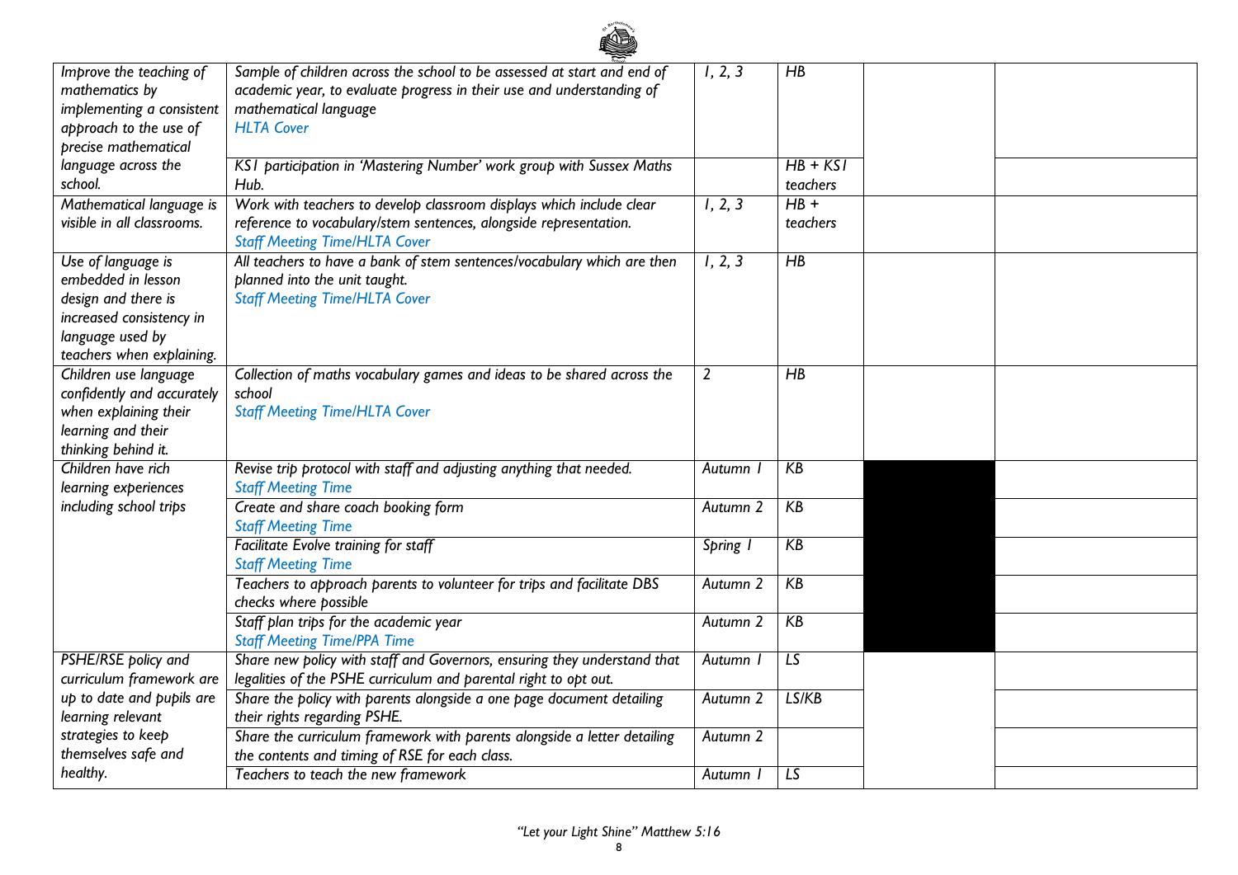| Improve the teaching of    | Sample of children across the school to be assessed at start and end of  | 1, 2, 3             | $\overline{HB}$ |  |
|----------------------------|--------------------------------------------------------------------------|---------------------|-----------------|--|
| mathematics by             | academic year, to evaluate progress in their use and understanding of    |                     |                 |  |
| implementing a consistent  | mathematical language                                                    |                     |                 |  |
| approach to the use of     | <b>HLTA Cover</b>                                                        |                     |                 |  |
| precise mathematical       |                                                                          |                     |                 |  |
| language across the        | KSI participation in 'Mastering Number' work group with Sussex Maths     |                     | $HB + KSI$      |  |
| school.                    | Hub.                                                                     |                     | teachers        |  |
| Mathematical language is   | Work with teachers to develop classroom displays which include clear     | 1, 2, 3             | $HB +$          |  |
| visible in all classrooms. | reference to vocabulary/stem sentences, alongside representation.        |                     | teachers        |  |
|                            | <b>Staff Meeting Time/HLTA Cover</b>                                     |                     |                 |  |
|                            |                                                                          |                     | $\overline{HB}$ |  |
| Use of language is         | All teachers to have a bank of stem sentences/vocabulary which are then  | 1, 2, 3             |                 |  |
| embedded in lesson         | planned into the unit taught.                                            |                     |                 |  |
| design and there is        | <b>Staff Meeting Time/HLTA Cover</b>                                     |                     |                 |  |
| increased consistency in   |                                                                          |                     |                 |  |
| language used by           |                                                                          |                     |                 |  |
| teachers when explaining.  |                                                                          |                     |                 |  |
| Children use language      | Collection of maths vocabulary games and ideas to be shared across the   | 2                   | $H$ B           |  |
| confidently and accurately | school                                                                   |                     |                 |  |
| when explaining their      | <b>Staff Meeting Time/HLTA Cover</b>                                     |                     |                 |  |
| learning and their         |                                                                          |                     |                 |  |
| thinking behind it.        |                                                                          |                     |                 |  |
| Children have rich         | Revise trip protocol with staff and adjusting anything that needed.      | Autumn              | KB              |  |
| learning experiences       | <b>Staff Meeting Time</b>                                                |                     |                 |  |
| including school trips     | Create and share coach booking form                                      | Autumn <sub>2</sub> | KB              |  |
|                            | <b>Staff Meeting Time</b>                                                |                     |                 |  |
|                            | Facilitate Evolve training for staff                                     | Spring I            | KB              |  |
|                            | <b>Staff Meeting Time</b>                                                |                     |                 |  |
|                            | Teachers to approach parents to volunteer for trips and facilitate DBS   | Autumn 2            | KB              |  |
|                            | checks where possible                                                    |                     |                 |  |
|                            | Staff plan trips for the academic year                                   | Autumn 2            | KB              |  |
|                            | <b>Staff Meeting Time/PPA Time</b>                                       |                     |                 |  |
| PSHE/RSE policy and        | Share new policy with staff and Governors, ensuring they understand that | Autumn I            | LS              |  |
| curriculum framework are   | legalities of the PSHE curriculum and parental right to opt out.         |                     |                 |  |
| up to date and pupils are  | Share the policy with parents alongside a one page document detailing    | Autumn 2            | LS/KB           |  |
| learning relevant          | their rights regarding PSHE.                                             |                     |                 |  |
| strategies to keep         | Share the curriculum framework with parents alongside a letter detailing | Autumn 2            |                 |  |
| themselves safe and        | the contents and timing of RSE for each class.                           |                     |                 |  |
| healthy.                   | Teachers to teach the new framework                                      | Autumn I            | $\overline{LS}$ |  |
|                            |                                                                          |                     |                 |  |

ad a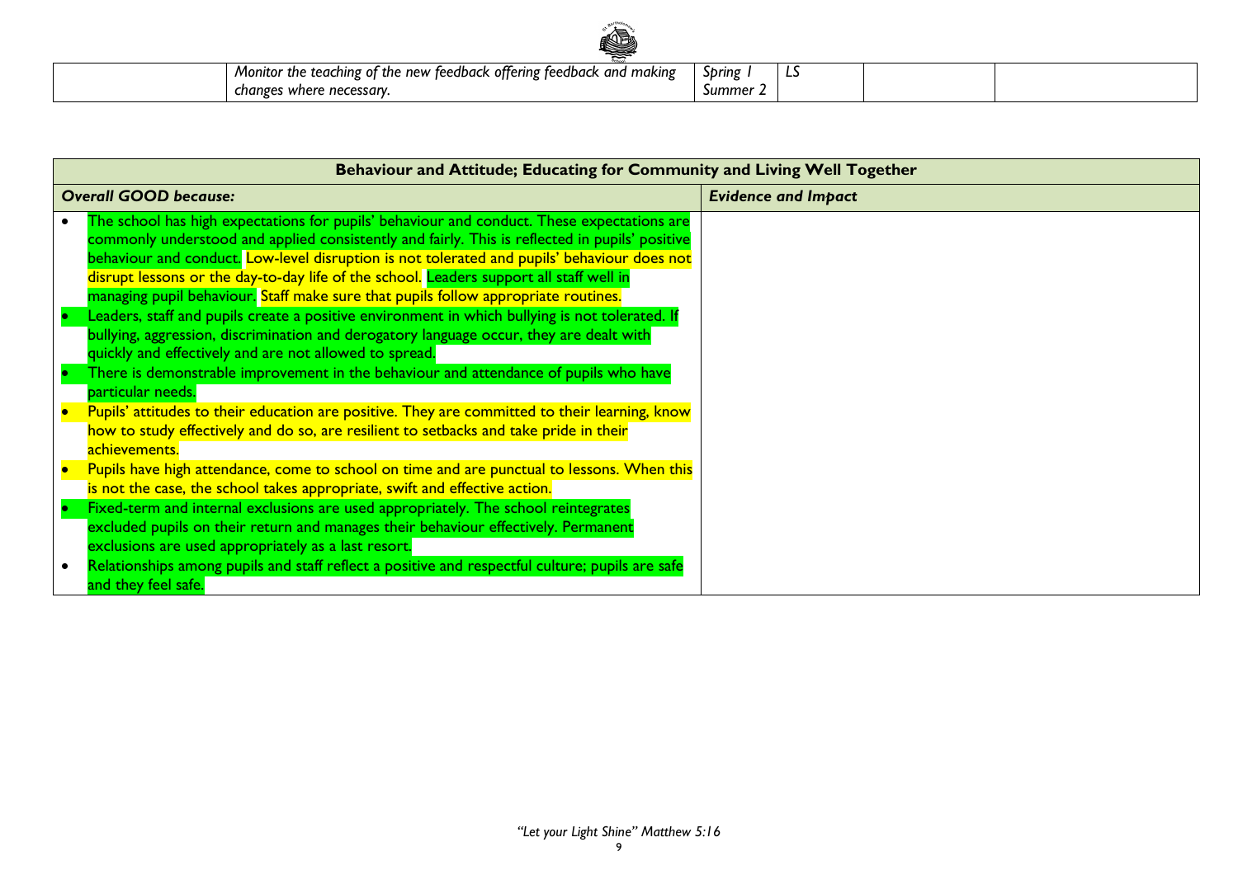| KD.                                                                   |          |    |  |
|-----------------------------------------------------------------------|----------|----|--|
| Monitor the teaching of the new feedback offering feedback and making | Spring   | -- |  |
| changes where necessary.                                              | Summer 2 |    |  |

| Behaviour and Attitude; Educating for Community and Living Well Together                                                                                                                                                                                                                                                                                                                                                                                                     |                            |  |  |
|------------------------------------------------------------------------------------------------------------------------------------------------------------------------------------------------------------------------------------------------------------------------------------------------------------------------------------------------------------------------------------------------------------------------------------------------------------------------------|----------------------------|--|--|
| <b>Overall GOOD because:</b>                                                                                                                                                                                                                                                                                                                                                                                                                                                 | <b>Evidence and Impact</b> |  |  |
| The school has high expectations for pupils' behaviour and conduct. These expectations are<br>commonly understood and applied consistently and fairly. This is reflected in pupils' positive<br>behaviour and conduct. Low-level disruption is not tolerated and pupils' behaviour does not<br>disrupt lessons or the day-to-day life of the school. Leaders support all staff well in<br>managing pupil behaviour. Staff make sure that pupils follow appropriate routines. |                            |  |  |
| Leaders, staff and pupils create a positive environment in which bullying is not tolerated. If<br>bullying, aggression, discrimination and derogatory language occur, they are dealt with<br>quickly and effectively and are not allowed to spread.<br>There is demonstrable improvement in the behaviour and attendance of pupils who have<br>particular needs.                                                                                                             |                            |  |  |
| Pupils' attitudes to their education are positive. They are committed to their learning, know<br>how to study effectively and do so, are resilient to setbacks and take pride in their<br>achievements.                                                                                                                                                                                                                                                                      |                            |  |  |
| Pupils have high attendance, come to school on time and are punctual to lessons. When this<br>is not the case, the school takes appropriate, swift and effective action.<br>Fixed-term and internal exclusions are used appropriately. The school reintegrates<br>excluded pupils on their return and manages their behaviour effectively. Permanent<br>exclusions are used appropriately as a last resort.                                                                  |                            |  |  |
| Relationships among pupils and staff reflect a positive and respectful culture; pupils are safe<br>and they feel safe.                                                                                                                                                                                                                                                                                                                                                       |                            |  |  |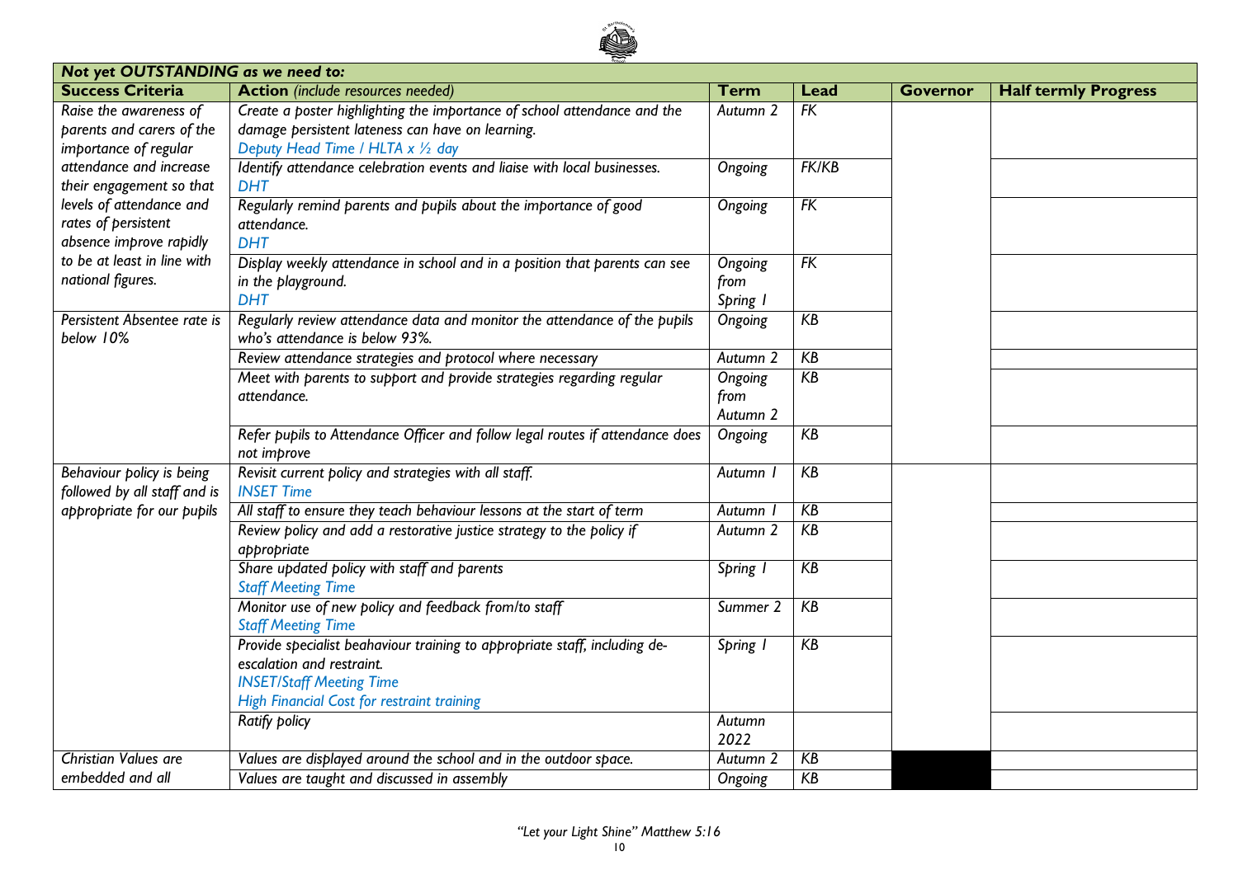

| <b>Success Criteria</b><br><b>Action</b> (include resources needed)<br><b>Half termly Progress</b><br><b>Term</b><br><b>Governor</b><br>Lead<br>Raise the awareness of<br>Create a poster highlighting the importance of school attendance and the<br>$\overline{FK}$<br>Autumn 2<br>damage persistent lateness can have on learning.<br>parents and carers of the<br>Deputy Head Time / HLTA x 1/2 day<br>importance of regular<br>attendance and increase<br>Identify attendance celebration events and liaise with local businesses.<br><b>FK/KB</b><br>Ongoing<br>their engagement so that<br><b>DHT</b><br>levels of attendance and<br>Regularly remind parents and pupils about the importance of good<br>FK<br>Ongoing<br>rates of persistent<br>attendance.<br>absence improve rapidly<br><b>DHT</b><br>to be at least in line with<br>Display weekly attendance in school and in a position that parents can see<br>FK<br>Ongoing<br>national figures.<br>in the playground.<br>from<br><b>DHT</b><br>Spring 1<br>Regularly review attendance data and monitor the attendance of the pupils<br>Persistent Absentee rate is<br>KB<br>Ongoing<br>who's attendance is below 93%.<br>below 10%<br>KB<br>Review attendance strategies and protocol where necessary<br>Autumn 2<br>KB<br>Meet with parents to support and provide strategies regarding regular<br>Ongoing<br>attendance.<br>from<br>Autumn 2<br>Refer pupils to Attendance Officer and follow legal routes if attendance does<br>KB<br>Ongoing<br>not improve<br>Behaviour policy is being<br>Revisit current policy and strategies with all staff.<br>KB<br>Autumn<br>followed by all staff and is<br><b>INSET Time</b><br>All staff to ensure they teach behaviour lessons at the start of term<br>KB<br>appropriate for our pupils<br><b>Autumn</b><br>KB<br>Review policy and add a restorative justice strategy to the policy if<br>Autumn 2<br>appropriate<br>Share updated policy with staff and parents<br>KB<br>Spring 1<br><b>Staff Meeting Time</b><br>Monitor use of new policy and feedback from/to staff<br>KB<br>Summer 2<br><b>Staff Meeting Time</b><br>Provide specialist beahaviour training to appropriate staff, including de-<br>$K$ B<br>Spring 1<br>escalation and restraint.<br><b>INSET/Staff Meeting Time</b><br>High Financial Cost for restraint training<br><b>Ratify policy</b><br>Autumn<br>2022<br><b>Christian Values are</b><br>Values are displayed around the school and in the outdoor space.<br>KB<br>Autumn <sub>2</sub> | Not yet OUTSTANDING as we need to: |                                             |         |    |  |  |  |  |
|-------------------------------------------------------------------------------------------------------------------------------------------------------------------------------------------------------------------------------------------------------------------------------------------------------------------------------------------------------------------------------------------------------------------------------------------------------------------------------------------------------------------------------------------------------------------------------------------------------------------------------------------------------------------------------------------------------------------------------------------------------------------------------------------------------------------------------------------------------------------------------------------------------------------------------------------------------------------------------------------------------------------------------------------------------------------------------------------------------------------------------------------------------------------------------------------------------------------------------------------------------------------------------------------------------------------------------------------------------------------------------------------------------------------------------------------------------------------------------------------------------------------------------------------------------------------------------------------------------------------------------------------------------------------------------------------------------------------------------------------------------------------------------------------------------------------------------------------------------------------------------------------------------------------------------------------------------------------------------------------------------------------------------------------------------------------------------------------------------------------------------------------------------------------------------------------------------------------------------------------------------------------------------------------------------------------------------------------------------------------------------------------------------------------------------------------------------------------------------------------------------------------------------------|------------------------------------|---------------------------------------------|---------|----|--|--|--|--|
|                                                                                                                                                                                                                                                                                                                                                                                                                                                                                                                                                                                                                                                                                                                                                                                                                                                                                                                                                                                                                                                                                                                                                                                                                                                                                                                                                                                                                                                                                                                                                                                                                                                                                                                                                                                                                                                                                                                                                                                                                                                                                                                                                                                                                                                                                                                                                                                                                                                                                                                                     |                                    |                                             |         |    |  |  |  |  |
|                                                                                                                                                                                                                                                                                                                                                                                                                                                                                                                                                                                                                                                                                                                                                                                                                                                                                                                                                                                                                                                                                                                                                                                                                                                                                                                                                                                                                                                                                                                                                                                                                                                                                                                                                                                                                                                                                                                                                                                                                                                                                                                                                                                                                                                                                                                                                                                                                                                                                                                                     |                                    |                                             |         |    |  |  |  |  |
|                                                                                                                                                                                                                                                                                                                                                                                                                                                                                                                                                                                                                                                                                                                                                                                                                                                                                                                                                                                                                                                                                                                                                                                                                                                                                                                                                                                                                                                                                                                                                                                                                                                                                                                                                                                                                                                                                                                                                                                                                                                                                                                                                                                                                                                                                                                                                                                                                                                                                                                                     |                                    |                                             |         |    |  |  |  |  |
|                                                                                                                                                                                                                                                                                                                                                                                                                                                                                                                                                                                                                                                                                                                                                                                                                                                                                                                                                                                                                                                                                                                                                                                                                                                                                                                                                                                                                                                                                                                                                                                                                                                                                                                                                                                                                                                                                                                                                                                                                                                                                                                                                                                                                                                                                                                                                                                                                                                                                                                                     |                                    |                                             |         |    |  |  |  |  |
|                                                                                                                                                                                                                                                                                                                                                                                                                                                                                                                                                                                                                                                                                                                                                                                                                                                                                                                                                                                                                                                                                                                                                                                                                                                                                                                                                                                                                                                                                                                                                                                                                                                                                                                                                                                                                                                                                                                                                                                                                                                                                                                                                                                                                                                                                                                                                                                                                                                                                                                                     |                                    |                                             |         |    |  |  |  |  |
|                                                                                                                                                                                                                                                                                                                                                                                                                                                                                                                                                                                                                                                                                                                                                                                                                                                                                                                                                                                                                                                                                                                                                                                                                                                                                                                                                                                                                                                                                                                                                                                                                                                                                                                                                                                                                                                                                                                                                                                                                                                                                                                                                                                                                                                                                                                                                                                                                                                                                                                                     |                                    |                                             |         |    |  |  |  |  |
|                                                                                                                                                                                                                                                                                                                                                                                                                                                                                                                                                                                                                                                                                                                                                                                                                                                                                                                                                                                                                                                                                                                                                                                                                                                                                                                                                                                                                                                                                                                                                                                                                                                                                                                                                                                                                                                                                                                                                                                                                                                                                                                                                                                                                                                                                                                                                                                                                                                                                                                                     |                                    |                                             |         |    |  |  |  |  |
|                                                                                                                                                                                                                                                                                                                                                                                                                                                                                                                                                                                                                                                                                                                                                                                                                                                                                                                                                                                                                                                                                                                                                                                                                                                                                                                                                                                                                                                                                                                                                                                                                                                                                                                                                                                                                                                                                                                                                                                                                                                                                                                                                                                                                                                                                                                                                                                                                                                                                                                                     |                                    |                                             |         |    |  |  |  |  |
|                                                                                                                                                                                                                                                                                                                                                                                                                                                                                                                                                                                                                                                                                                                                                                                                                                                                                                                                                                                                                                                                                                                                                                                                                                                                                                                                                                                                                                                                                                                                                                                                                                                                                                                                                                                                                                                                                                                                                                                                                                                                                                                                                                                                                                                                                                                                                                                                                                                                                                                                     |                                    |                                             |         |    |  |  |  |  |
|                                                                                                                                                                                                                                                                                                                                                                                                                                                                                                                                                                                                                                                                                                                                                                                                                                                                                                                                                                                                                                                                                                                                                                                                                                                                                                                                                                                                                                                                                                                                                                                                                                                                                                                                                                                                                                                                                                                                                                                                                                                                                                                                                                                                                                                                                                                                                                                                                                                                                                                                     |                                    |                                             |         |    |  |  |  |  |
|                                                                                                                                                                                                                                                                                                                                                                                                                                                                                                                                                                                                                                                                                                                                                                                                                                                                                                                                                                                                                                                                                                                                                                                                                                                                                                                                                                                                                                                                                                                                                                                                                                                                                                                                                                                                                                                                                                                                                                                                                                                                                                                                                                                                                                                                                                                                                                                                                                                                                                                                     |                                    |                                             |         |    |  |  |  |  |
|                                                                                                                                                                                                                                                                                                                                                                                                                                                                                                                                                                                                                                                                                                                                                                                                                                                                                                                                                                                                                                                                                                                                                                                                                                                                                                                                                                                                                                                                                                                                                                                                                                                                                                                                                                                                                                                                                                                                                                                                                                                                                                                                                                                                                                                                                                                                                                                                                                                                                                                                     |                                    |                                             |         |    |  |  |  |  |
|                                                                                                                                                                                                                                                                                                                                                                                                                                                                                                                                                                                                                                                                                                                                                                                                                                                                                                                                                                                                                                                                                                                                                                                                                                                                                                                                                                                                                                                                                                                                                                                                                                                                                                                                                                                                                                                                                                                                                                                                                                                                                                                                                                                                                                                                                                                                                                                                                                                                                                                                     |                                    |                                             |         |    |  |  |  |  |
|                                                                                                                                                                                                                                                                                                                                                                                                                                                                                                                                                                                                                                                                                                                                                                                                                                                                                                                                                                                                                                                                                                                                                                                                                                                                                                                                                                                                                                                                                                                                                                                                                                                                                                                                                                                                                                                                                                                                                                                                                                                                                                                                                                                                                                                                                                                                                                                                                                                                                                                                     |                                    |                                             |         |    |  |  |  |  |
|                                                                                                                                                                                                                                                                                                                                                                                                                                                                                                                                                                                                                                                                                                                                                                                                                                                                                                                                                                                                                                                                                                                                                                                                                                                                                                                                                                                                                                                                                                                                                                                                                                                                                                                                                                                                                                                                                                                                                                                                                                                                                                                                                                                                                                                                                                                                                                                                                                                                                                                                     |                                    |                                             |         |    |  |  |  |  |
|                                                                                                                                                                                                                                                                                                                                                                                                                                                                                                                                                                                                                                                                                                                                                                                                                                                                                                                                                                                                                                                                                                                                                                                                                                                                                                                                                                                                                                                                                                                                                                                                                                                                                                                                                                                                                                                                                                                                                                                                                                                                                                                                                                                                                                                                                                                                                                                                                                                                                                                                     |                                    |                                             |         |    |  |  |  |  |
|                                                                                                                                                                                                                                                                                                                                                                                                                                                                                                                                                                                                                                                                                                                                                                                                                                                                                                                                                                                                                                                                                                                                                                                                                                                                                                                                                                                                                                                                                                                                                                                                                                                                                                                                                                                                                                                                                                                                                                                                                                                                                                                                                                                                                                                                                                                                                                                                                                                                                                                                     |                                    |                                             |         |    |  |  |  |  |
|                                                                                                                                                                                                                                                                                                                                                                                                                                                                                                                                                                                                                                                                                                                                                                                                                                                                                                                                                                                                                                                                                                                                                                                                                                                                                                                                                                                                                                                                                                                                                                                                                                                                                                                                                                                                                                                                                                                                                                                                                                                                                                                                                                                                                                                                                                                                                                                                                                                                                                                                     |                                    |                                             |         |    |  |  |  |  |
|                                                                                                                                                                                                                                                                                                                                                                                                                                                                                                                                                                                                                                                                                                                                                                                                                                                                                                                                                                                                                                                                                                                                                                                                                                                                                                                                                                                                                                                                                                                                                                                                                                                                                                                                                                                                                                                                                                                                                                                                                                                                                                                                                                                                                                                                                                                                                                                                                                                                                                                                     |                                    |                                             |         |    |  |  |  |  |
|                                                                                                                                                                                                                                                                                                                                                                                                                                                                                                                                                                                                                                                                                                                                                                                                                                                                                                                                                                                                                                                                                                                                                                                                                                                                                                                                                                                                                                                                                                                                                                                                                                                                                                                                                                                                                                                                                                                                                                                                                                                                                                                                                                                                                                                                                                                                                                                                                                                                                                                                     |                                    |                                             |         |    |  |  |  |  |
|                                                                                                                                                                                                                                                                                                                                                                                                                                                                                                                                                                                                                                                                                                                                                                                                                                                                                                                                                                                                                                                                                                                                                                                                                                                                                                                                                                                                                                                                                                                                                                                                                                                                                                                                                                                                                                                                                                                                                                                                                                                                                                                                                                                                                                                                                                                                                                                                                                                                                                                                     |                                    |                                             |         |    |  |  |  |  |
|                                                                                                                                                                                                                                                                                                                                                                                                                                                                                                                                                                                                                                                                                                                                                                                                                                                                                                                                                                                                                                                                                                                                                                                                                                                                                                                                                                                                                                                                                                                                                                                                                                                                                                                                                                                                                                                                                                                                                                                                                                                                                                                                                                                                                                                                                                                                                                                                                                                                                                                                     |                                    |                                             |         |    |  |  |  |  |
|                                                                                                                                                                                                                                                                                                                                                                                                                                                                                                                                                                                                                                                                                                                                                                                                                                                                                                                                                                                                                                                                                                                                                                                                                                                                                                                                                                                                                                                                                                                                                                                                                                                                                                                                                                                                                                                                                                                                                                                                                                                                                                                                                                                                                                                                                                                                                                                                                                                                                                                                     |                                    |                                             |         |    |  |  |  |  |
|                                                                                                                                                                                                                                                                                                                                                                                                                                                                                                                                                                                                                                                                                                                                                                                                                                                                                                                                                                                                                                                                                                                                                                                                                                                                                                                                                                                                                                                                                                                                                                                                                                                                                                                                                                                                                                                                                                                                                                                                                                                                                                                                                                                                                                                                                                                                                                                                                                                                                                                                     |                                    |                                             |         |    |  |  |  |  |
|                                                                                                                                                                                                                                                                                                                                                                                                                                                                                                                                                                                                                                                                                                                                                                                                                                                                                                                                                                                                                                                                                                                                                                                                                                                                                                                                                                                                                                                                                                                                                                                                                                                                                                                                                                                                                                                                                                                                                                                                                                                                                                                                                                                                                                                                                                                                                                                                                                                                                                                                     |                                    |                                             |         |    |  |  |  |  |
|                                                                                                                                                                                                                                                                                                                                                                                                                                                                                                                                                                                                                                                                                                                                                                                                                                                                                                                                                                                                                                                                                                                                                                                                                                                                                                                                                                                                                                                                                                                                                                                                                                                                                                                                                                                                                                                                                                                                                                                                                                                                                                                                                                                                                                                                                                                                                                                                                                                                                                                                     |                                    |                                             |         |    |  |  |  |  |
|                                                                                                                                                                                                                                                                                                                                                                                                                                                                                                                                                                                                                                                                                                                                                                                                                                                                                                                                                                                                                                                                                                                                                                                                                                                                                                                                                                                                                                                                                                                                                                                                                                                                                                                                                                                                                                                                                                                                                                                                                                                                                                                                                                                                                                                                                                                                                                                                                                                                                                                                     |                                    |                                             |         |    |  |  |  |  |
|                                                                                                                                                                                                                                                                                                                                                                                                                                                                                                                                                                                                                                                                                                                                                                                                                                                                                                                                                                                                                                                                                                                                                                                                                                                                                                                                                                                                                                                                                                                                                                                                                                                                                                                                                                                                                                                                                                                                                                                                                                                                                                                                                                                                                                                                                                                                                                                                                                                                                                                                     |                                    |                                             |         |    |  |  |  |  |
|                                                                                                                                                                                                                                                                                                                                                                                                                                                                                                                                                                                                                                                                                                                                                                                                                                                                                                                                                                                                                                                                                                                                                                                                                                                                                                                                                                                                                                                                                                                                                                                                                                                                                                                                                                                                                                                                                                                                                                                                                                                                                                                                                                                                                                                                                                                                                                                                                                                                                                                                     |                                    |                                             |         |    |  |  |  |  |
|                                                                                                                                                                                                                                                                                                                                                                                                                                                                                                                                                                                                                                                                                                                                                                                                                                                                                                                                                                                                                                                                                                                                                                                                                                                                                                                                                                                                                                                                                                                                                                                                                                                                                                                                                                                                                                                                                                                                                                                                                                                                                                                                                                                                                                                                                                                                                                                                                                                                                                                                     |                                    |                                             |         |    |  |  |  |  |
|                                                                                                                                                                                                                                                                                                                                                                                                                                                                                                                                                                                                                                                                                                                                                                                                                                                                                                                                                                                                                                                                                                                                                                                                                                                                                                                                                                                                                                                                                                                                                                                                                                                                                                                                                                                                                                                                                                                                                                                                                                                                                                                                                                                                                                                                                                                                                                                                                                                                                                                                     |                                    |                                             |         |    |  |  |  |  |
|                                                                                                                                                                                                                                                                                                                                                                                                                                                                                                                                                                                                                                                                                                                                                                                                                                                                                                                                                                                                                                                                                                                                                                                                                                                                                                                                                                                                                                                                                                                                                                                                                                                                                                                                                                                                                                                                                                                                                                                                                                                                                                                                                                                                                                                                                                                                                                                                                                                                                                                                     |                                    |                                             |         |    |  |  |  |  |
|                                                                                                                                                                                                                                                                                                                                                                                                                                                                                                                                                                                                                                                                                                                                                                                                                                                                                                                                                                                                                                                                                                                                                                                                                                                                                                                                                                                                                                                                                                                                                                                                                                                                                                                                                                                                                                                                                                                                                                                                                                                                                                                                                                                                                                                                                                                                                                                                                                                                                                                                     |                                    |                                             |         |    |  |  |  |  |
|                                                                                                                                                                                                                                                                                                                                                                                                                                                                                                                                                                                                                                                                                                                                                                                                                                                                                                                                                                                                                                                                                                                                                                                                                                                                                                                                                                                                                                                                                                                                                                                                                                                                                                                                                                                                                                                                                                                                                                                                                                                                                                                                                                                                                                                                                                                                                                                                                                                                                                                                     |                                    |                                             |         |    |  |  |  |  |
|                                                                                                                                                                                                                                                                                                                                                                                                                                                                                                                                                                                                                                                                                                                                                                                                                                                                                                                                                                                                                                                                                                                                                                                                                                                                                                                                                                                                                                                                                                                                                                                                                                                                                                                                                                                                                                                                                                                                                                                                                                                                                                                                                                                                                                                                                                                                                                                                                                                                                                                                     |                                    |                                             |         |    |  |  |  |  |
|                                                                                                                                                                                                                                                                                                                                                                                                                                                                                                                                                                                                                                                                                                                                                                                                                                                                                                                                                                                                                                                                                                                                                                                                                                                                                                                                                                                                                                                                                                                                                                                                                                                                                                                                                                                                                                                                                                                                                                                                                                                                                                                                                                                                                                                                                                                                                                                                                                                                                                                                     |                                    |                                             |         |    |  |  |  |  |
|                                                                                                                                                                                                                                                                                                                                                                                                                                                                                                                                                                                                                                                                                                                                                                                                                                                                                                                                                                                                                                                                                                                                                                                                                                                                                                                                                                                                                                                                                                                                                                                                                                                                                                                                                                                                                                                                                                                                                                                                                                                                                                                                                                                                                                                                                                                                                                                                                                                                                                                                     | embedded and all                   | Values are taught and discussed in assembly | Ongoing | KB |  |  |  |  |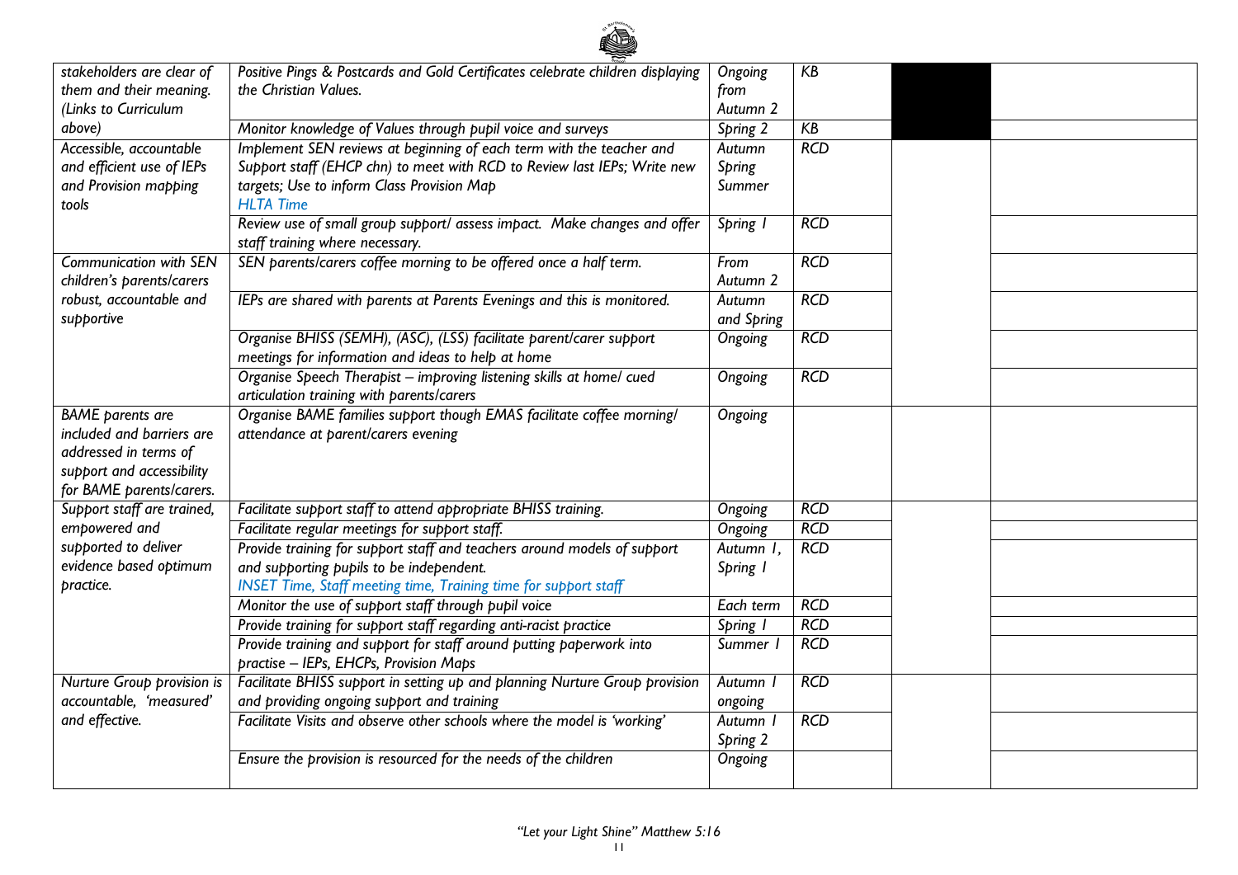| stakeholders are clear of     | Positive Pings & Postcards and Gold Certificates celebrate children displaying | Ongoing    | KB         |  |
|-------------------------------|--------------------------------------------------------------------------------|------------|------------|--|
| them and their meaning.       | the Christian Values.                                                          | from       |            |  |
| (Links to Curriculum          |                                                                                | Autumn 2   |            |  |
| above)                        | Monitor knowledge of Values through pupil voice and surveys                    | Spring 2   | KB         |  |
| Accessible, accountable       | Implement SEN reviews at beginning of each term with the teacher and           | Autumn     | RCD        |  |
| and efficient use of IEPs     | Support staff (EHCP chn) to meet with RCD to Review last IEPs; Write new       | Spring     |            |  |
| and Provision mapping         | targets; Use to inform Class Provision Map                                     | Summer     |            |  |
| tools                         | <b>HLTA Time</b>                                                               |            |            |  |
|                               | Review use of small group support/ assess impact. Make changes and offer       | Spring I   | <b>RCD</b> |  |
|                               | staff training where necessary.                                                |            |            |  |
| <b>Communication with SEN</b> | SEN parents/carers coffee morning to be offered once a half term.              | From       | <b>RCD</b> |  |
| children's parents/carers     |                                                                                | Autumn 2   |            |  |
| robust, accountable and       | IEPs are shared with parents at Parents Evenings and this is monitored.        | Autumn     | RCD        |  |
| supportive                    |                                                                                | and Spring |            |  |
|                               | Organise BHISS (SEMH), (ASC), (LSS) facilitate parent/carer support            | Ongoing    | RCD        |  |
|                               | meetings for information and ideas to help at home                             |            |            |  |
|                               | Organise Speech Therapist - improving listening skills at home/ cued           | Ongoing    | <b>RCD</b> |  |
|                               | articulation training with parents/carers                                      |            |            |  |
| <b>BAME</b> parents are       | Organise BAME families support though EMAS facilitate coffee morning/          | Ongoing    |            |  |
| included and barriers are     | attendance at parent/carers evening                                            |            |            |  |
| addressed in terms of         |                                                                                |            |            |  |
| support and accessibility     |                                                                                |            |            |  |
| for BAME parents/carers.      |                                                                                |            |            |  |
| Support staff are trained,    | Facilitate support staff to attend appropriate BHISS training.                 | Ongoing    | <b>RCD</b> |  |
| empowered and                 | Facilitate regular meetings for support staff.                                 | Ongoing    | RCD        |  |
| supported to deliver          | Provide training for support staff and teachers around models of support       | Autumn I,  | <b>RCD</b> |  |
| evidence based optimum        | and supporting pupils to be independent.                                       | Spring I   |            |  |
| practice.                     | <b>INSET Time, Staff meeting time, Training time for support staff</b>         |            |            |  |
|                               | Monitor the use of support staff through pupil voice                           | Each term  | <b>RCD</b> |  |
|                               | Provide training for support staff regarding anti-racist practice              | Spring I   | <b>RCD</b> |  |
|                               | Provide training and support for staff around putting paperwork into           | Summer I   | RCD        |  |
|                               | practise - IEPs, EHCPs, Provision Maps                                         |            |            |  |
| Nurture Group provision is    | Facilitate BHISS support in setting up and planning Nurture Group provision    | Autumn I   | <b>RCD</b> |  |
| accountable, 'measured'       | and providing ongoing support and training                                     | ongoing    |            |  |
| and effective.                | Facilitate Visits and observe other schools where the model is 'working'       | Autumn I   | RCD        |  |
|                               |                                                                                | Spring 2   |            |  |
|                               | Ensure the provision is resourced for the needs of the children                | Ongoing    |            |  |
|                               |                                                                                |            |            |  |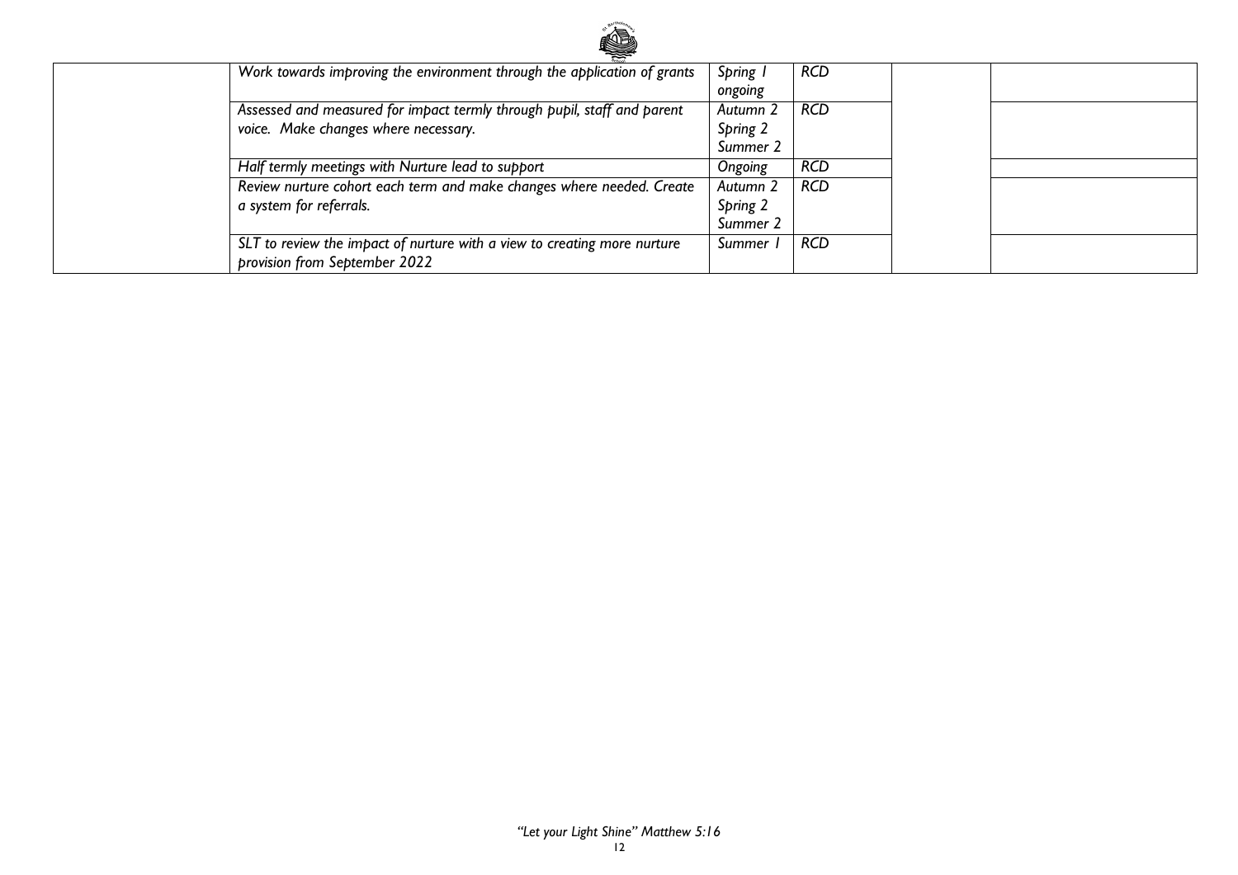

| Work towards improving the environment through the application of grants | Spring   | <b>RCD</b> |  |
|--------------------------------------------------------------------------|----------|------------|--|
|                                                                          | ongoing  |            |  |
| Assessed and measured for impact termly through pupil, staff and parent  | Autumn 2 | <b>RCD</b> |  |
| voice. Make changes where necessary.                                     | Spring 2 |            |  |
|                                                                          | Summer 2 |            |  |
| Half termly meetings with Nurture lead to support                        | Ongoing  | <b>RCD</b> |  |
| Review nurture cohort each term and make changes where needed. Create    | Autumn 2 | <b>RCD</b> |  |
| a system for referrals.                                                  | Spring 2 |            |  |
|                                                                          | Summer 2 |            |  |
| SLT to review the impact of nurture with a view to creating more nurture | Summer   | <b>RCD</b> |  |
| provision from September 2022                                            |          |            |  |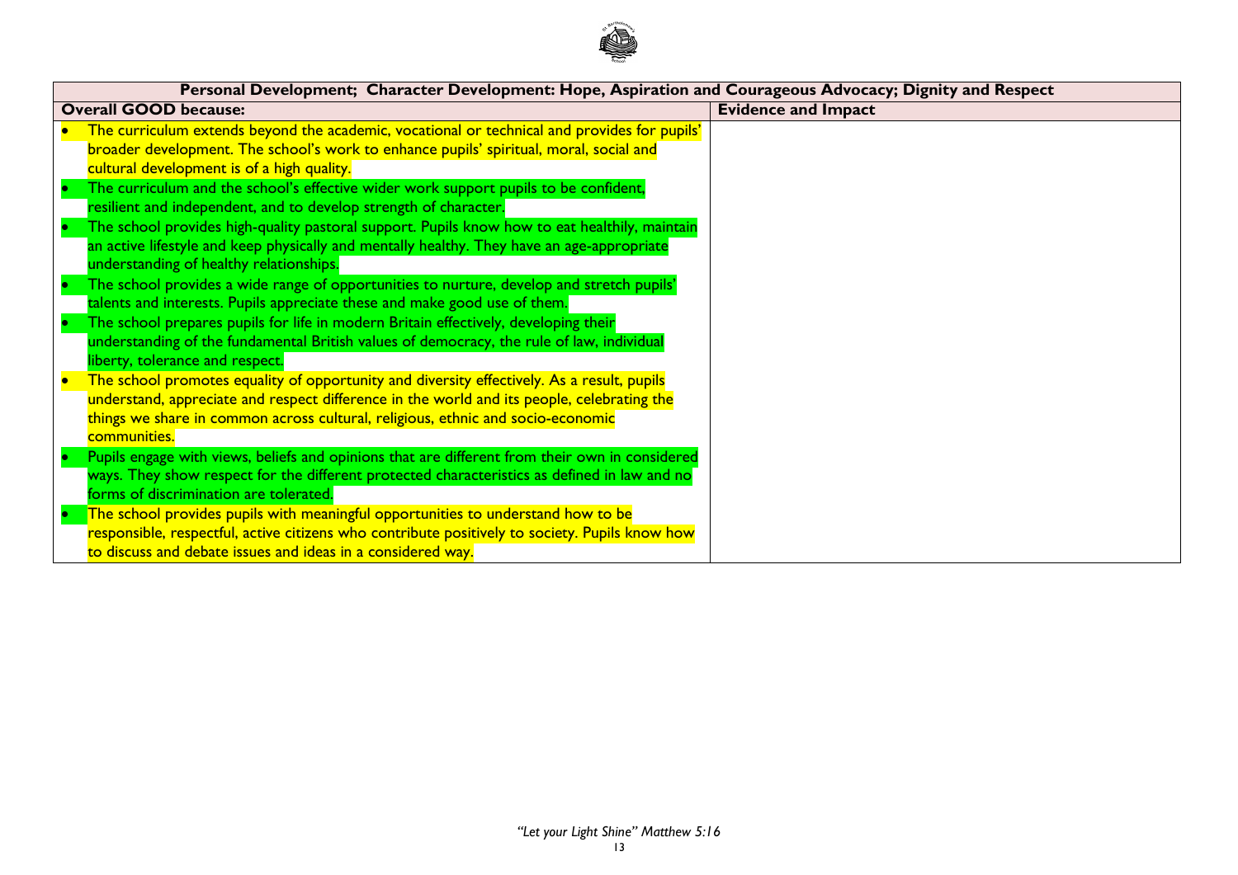

| Personal Development; Character Development: Hope, Aspiration and Courageous Advocacy; Dignity and Respect |                            |  |  |  |  |
|------------------------------------------------------------------------------------------------------------|----------------------------|--|--|--|--|
| <b>Overall GOOD because:</b>                                                                               | <b>Evidence and Impact</b> |  |  |  |  |
| The curriculum extends beyond the academic, vocational or technical and provides for pupils'               |                            |  |  |  |  |
| broader development. The school's work to enhance pupils' spiritual, moral, social and                     |                            |  |  |  |  |
| cultural development is of a high quality.                                                                 |                            |  |  |  |  |
| The curriculum and the school's effective wider work support pupils to be confident,                       |                            |  |  |  |  |
| resilient and independent, and to develop strength of character.                                           |                            |  |  |  |  |
| The school provides high-quality pastoral support. Pupils know how to eat healthily, maintain              |                            |  |  |  |  |
| an active lifestyle and keep physically and mentally healthy. They have an age-appropriate                 |                            |  |  |  |  |
| understanding of healthy relationships.                                                                    |                            |  |  |  |  |
| The school provides a wide range of opportunities to nurture, develop and stretch pupils'                  |                            |  |  |  |  |
| talents and interests. Pupils appreciate these and make good use of them.                                  |                            |  |  |  |  |
| The school prepares pupils for life in modern Britain effectively, developing their                        |                            |  |  |  |  |
| understanding of the fundamental British values of democracy, the rule of law, individual                  |                            |  |  |  |  |
| liberty, tolerance and respect.                                                                            |                            |  |  |  |  |
| The school promotes equality of opportunity and diversity effectively. As a result, pupils                 |                            |  |  |  |  |
| understand, appreciate and respect difference in the world and its people, celebrating the                 |                            |  |  |  |  |
| things we share in common across cultural, religious, ethnic and socio-economic                            |                            |  |  |  |  |
| communities.                                                                                               |                            |  |  |  |  |
| Pupils engage with views, beliefs and opinions that are different from their own in considered             |                            |  |  |  |  |
| ways. They show respect for the different protected characteristics as defined in law and no               |                            |  |  |  |  |
| forms of discrimination are tolerated.                                                                     |                            |  |  |  |  |
| The school provides pupils with meaningful opportunities to understand how to be                           |                            |  |  |  |  |
| responsible, respectful, active citizens who contribute positively to society. Pupils know how             |                            |  |  |  |  |
| to discuss and debate issues and ideas in a considered way.                                                |                            |  |  |  |  |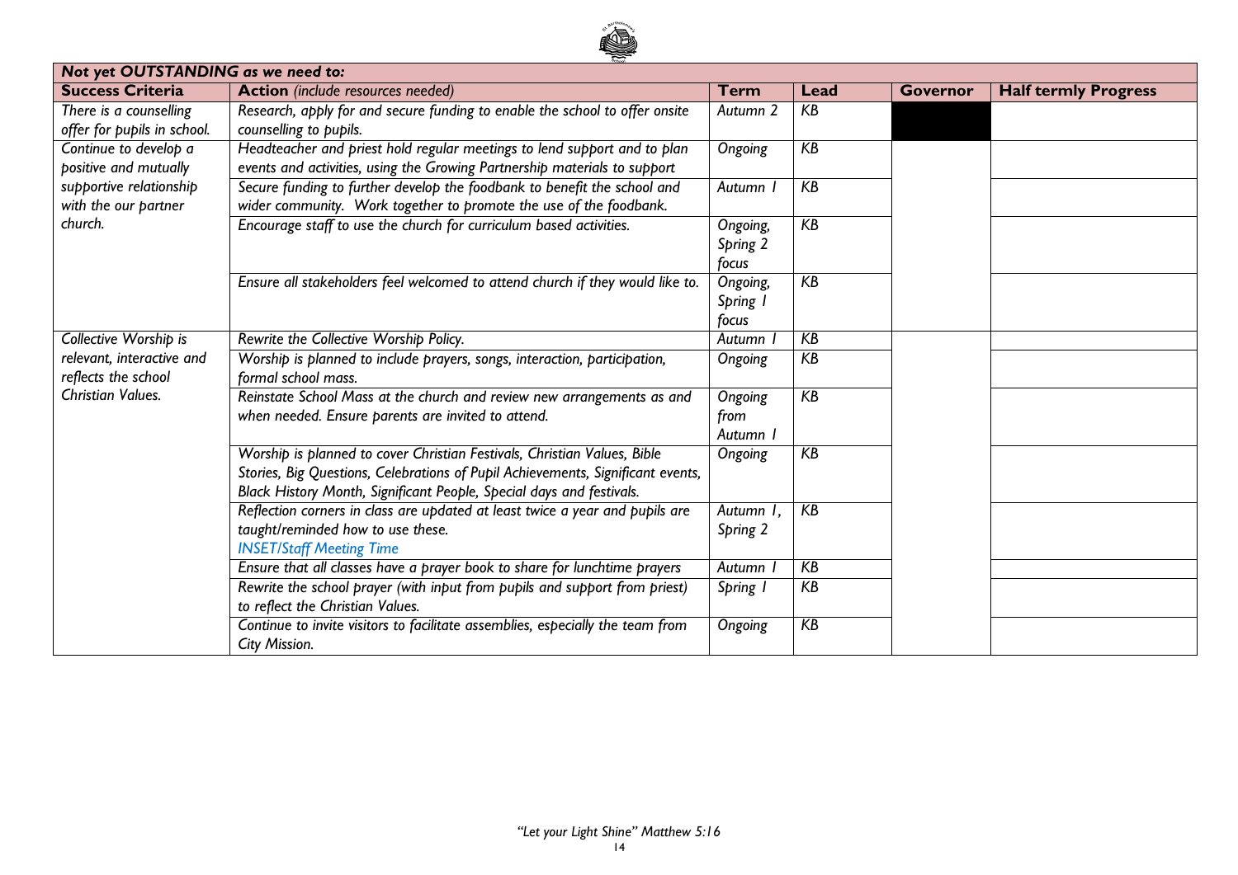

| Not yet OUTSTANDING as we need to: |                                                                                 |                     |       |          |                             |
|------------------------------------|---------------------------------------------------------------------------------|---------------------|-------|----------|-----------------------------|
| <b>Success Criteria</b>            | <b>Action</b> (include resources needed)                                        | Term                | Lead  | Governor | <b>Half termly Progress</b> |
| There is a counselling             | Research, apply for and secure funding to enable the school to offer onsite     | Autumn <sub>2</sub> | KB    |          |                             |
| offer for pupils in school.        | counselling to pupils.                                                          |                     |       |          |                             |
| Continue to develop a              | Headteacher and priest hold regular meetings to lend support and to plan        | Ongoing             | KB    |          |                             |
| positive and mutually              | events and activities, using the Growing Partnership materials to support       |                     |       |          |                             |
| supportive relationship            | Secure funding to further develop the foodbank to benefit the school and        | Autumn              | KB    |          |                             |
| with the our partner               | wider community. Work together to promote the use of the foodbank.              |                     |       |          |                             |
| church.                            | Encourage staff to use the church for curriculum based activities.              | Ongoing,            | KB    |          |                             |
|                                    |                                                                                 | Spring 2            |       |          |                             |
|                                    |                                                                                 | focus               |       |          |                             |
|                                    | Ensure all stakeholders feel welcomed to attend church if they would like to.   | Ongoing,            | $K$ B |          |                             |
|                                    |                                                                                 | Spring I            |       |          |                             |
|                                    |                                                                                 | focus               |       |          |                             |
| Collective Worship is              | Rewrite the Collective Worship Policy.                                          | Autumn              | KB    |          |                             |
| relevant, interactive and          | Worship is planned to include prayers, songs, interaction, participation,       | Ongoing             | KB    |          |                             |
| reflects the school                | formal school mass.                                                             |                     |       |          |                             |
| <b>Christian Values.</b>           | Reinstate School Mass at the church and review new arrangements as and          | Ongoing             | $K$ B |          |                             |
|                                    | when needed. Ensure parents are invited to attend.                              | from                |       |          |                             |
|                                    |                                                                                 | Autumn I            |       |          |                             |
|                                    | Worship is planned to cover Christian Festivals, Christian Values, Bible        | Ongoing             | KB    |          |                             |
|                                    | Stories, Big Questions, Celebrations of Pupil Achievements, Significant events, |                     |       |          |                             |
|                                    | Black History Month, Significant People, Special days and festivals.            |                     |       |          |                             |
|                                    | Reflection corners in class are updated at least twice a year and pupils are    | Autumn I,           | KB    |          |                             |
|                                    | taught/reminded how to use these.                                               | Spring 2            |       |          |                             |
|                                    | <b>INSET/Staff Meeting Time</b>                                                 |                     |       |          |                             |
|                                    | Ensure that all classes have a prayer book to share for lunchtime prayers       | Autumn              | KB    |          |                             |
|                                    | Rewrite the school prayer (with input from pupils and support from priest)      | Spring I            | KB    |          |                             |
|                                    | to reflect the Christian Values.                                                |                     |       |          |                             |
|                                    | Continue to invite visitors to facilitate assemblies, especially the team from  | Ongoing             | KB    |          |                             |
|                                    | City Mission.                                                                   |                     |       |          |                             |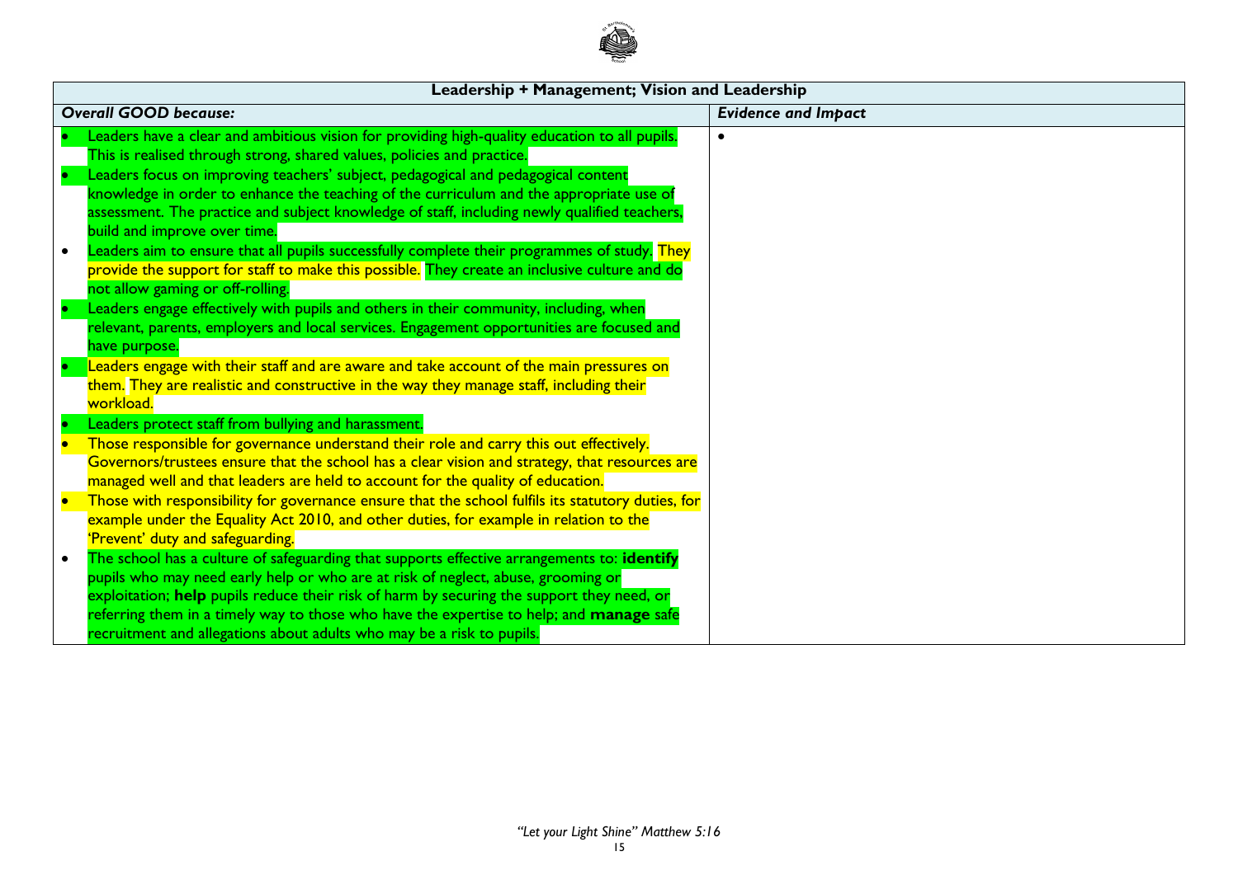

| Leadership + Management; Vision and Leadership                                                                        |                            |
|-----------------------------------------------------------------------------------------------------------------------|----------------------------|
| <b>Overall GOOD because:</b>                                                                                          | <b>Evidence and Impact</b> |
| Leaders have a clear and ambitious vision for providing high-quality education to all pupils.                         |                            |
| This is realised through strong, shared values, policies and practice.                                                |                            |
| Leaders focus on improving teachers' subject, pedagogical and pedagogical content                                     |                            |
| knowledge in order to enhance the teaching of the curriculum and the appropriate use of                               |                            |
| assessment. The practice and subject knowledge of staff, including newly qualified teachers,                          |                            |
| build and improve over time.                                                                                          |                            |
| Leaders aim to ensure that all pupils successfully complete their programmes of study. <mark>They</mark><br>$\bullet$ |                            |
| provide the support for staff to make this possible. They create an inclusive culture and do                          |                            |
| not allow gaming or off-rolling.                                                                                      |                            |
| Leaders engage effectively with pupils and others in their community, including, when                                 |                            |
| relevant, parents, employers and local services. Engagement opportunities are focused and                             |                            |
| have purpose.                                                                                                         |                            |
| Leaders engage with their staff and are aware and take account of the main pressures on                               |                            |
| them. They are realistic and constructive in the way they manage staff, including their                               |                            |
| workload.                                                                                                             |                            |
| Leaders protect staff from bullying and harassment.                                                                   |                            |
| Those responsible for governance understand their role and carry this out effectively.                                |                            |
| Governors/trustees ensure that the school has a clear vision and strategy, that resources are                         |                            |
| managed well and that leaders are held to account for the quality of education.                                       |                            |
| Those with responsibility for governance ensure that the school fulfils its statutory duties, for                     |                            |
| example under the Equality Act 2010, and other duties, for example in relation to the                                 |                            |
| 'Prevent' duty and safeguarding.                                                                                      |                            |
| The school has a culture of safeguarding that supports effective arrangements to: identify                            |                            |
| pupils who may need early help or who are at risk of neglect, abuse, grooming or                                      |                            |
| exploitation; help pupils reduce their risk of harm by securing the support they need, or                             |                            |
| referring them in a timely way to those who have the expertise to help; and manage safe                               |                            |
| recruitment and allegations about adults who may be a risk to pupils.                                                 |                            |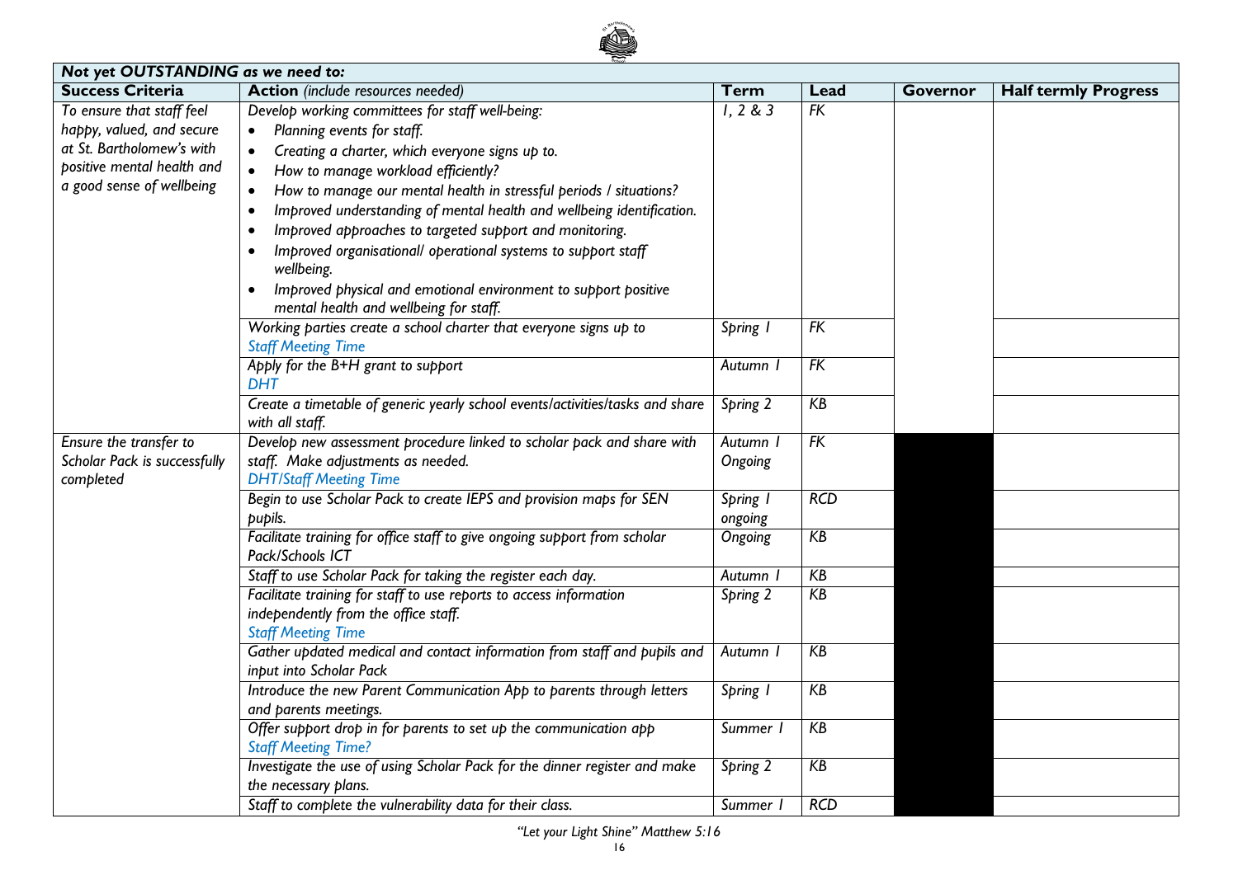

| Not yet OUTSTANDING as we need to: |                                                                                                     |                    |      |          |                             |
|------------------------------------|-----------------------------------------------------------------------------------------------------|--------------------|------|----------|-----------------------------|
| <b>Success Criteria</b>            | <b>Action</b> (include resources needed)                                                            | <b>Term</b>        | Lead | Governor | <b>Half termly Progress</b> |
| To ensure that staff feel          | Develop working committees for staff well-being:                                                    | 1, 2 & 3           | FK   |          |                             |
| happy, valued, and secure          | Planning events for staff.<br>$\bullet$                                                             |                    |      |          |                             |
| at St. Bartholomew's with          | Creating a charter, which everyone signs up to.                                                     |                    |      |          |                             |
| positive mental health and         | How to manage workload efficiently?                                                                 |                    |      |          |                             |
| a good sense of wellbeing          | How to manage our mental health in stressful periods / situations?                                  |                    |      |          |                             |
|                                    | Improved understanding of mental health and wellbeing identification.<br>$\bullet$                  |                    |      |          |                             |
|                                    | Improved approaches to targeted support and monitoring.                                             |                    |      |          |                             |
|                                    | Improved organisational/ operational systems to support staff<br>wellbeing.                         |                    |      |          |                             |
|                                    | Improved physical and emotional environment to support positive<br>$\bullet$                        |                    |      |          |                             |
|                                    | mental health and wellbeing for staff.                                                              |                    |      |          |                             |
|                                    | Working parties create a school charter that everyone signs up to                                   | Spring I           | FK   |          |                             |
|                                    | <b>Staff Meeting Time</b>                                                                           |                    |      |          |                             |
|                                    | Apply for the B+H grant to support<br><b>DHT</b>                                                    | Autumn             | FK   |          |                             |
|                                    | Create a timetable of generic yearly school events/activities/tasks and share                       | Spring 2           | KB   |          |                             |
|                                    | with all staff.                                                                                     |                    |      |          |                             |
| Ensure the transfer to             | Develop new assessment procedure linked to scholar pack and share with                              | Autumn             | FK   |          |                             |
| Scholar Pack is successfully       | staff. Make adjustments as needed.                                                                  | Ongoing            |      |          |                             |
| completed                          | <b>DHT/Staff Meeting Time</b>                                                                       |                    | RCD  |          |                             |
|                                    | Begin to use Scholar Pack to create IEPS and provision maps for SEN<br>pupils.                      | Spring 1           |      |          |                             |
|                                    | Facilitate training for office staff to give ongoing support from scholar                           | ongoing<br>Ongoing | KB   |          |                             |
|                                    | Pack/Schools ICT                                                                                    |                    |      |          |                             |
|                                    | Staff to use Scholar Pack for taking the register each day.                                         | Autumn             | KB   |          |                             |
|                                    | Facilitate training for staff to use reports to access information                                  | Spring 2           | KB   |          |                             |
|                                    | independently from the office staff.                                                                |                    |      |          |                             |
|                                    | <b>Staff Meeting Time</b>                                                                           |                    |      |          |                             |
|                                    | Gather updated medical and contact information from staff and pupils and<br>input into Scholar Pack | Autumn             | KB   |          |                             |
|                                    | Introduce the new Parent Communication App to parents through letters                               | Spring 1           | KB   |          |                             |
|                                    | and parents meetings.                                                                               |                    |      |          |                             |
|                                    | Offer support drop in for parents to set up the communication app                                   | Summer I           | KB   |          |                             |
|                                    | <b>Staff Meeting Time?</b>                                                                          |                    |      |          |                             |
|                                    | Investigate the use of using Scholar Pack for the dinner register and make                          | Spring 2           | KB   |          |                             |
|                                    | the necessary plans.                                                                                |                    |      |          |                             |
|                                    | Staff to complete the vulnerability data for their class.                                           | Summer I           | RCD  |          |                             |

*"Let your Light Shine" Matthew 5:16*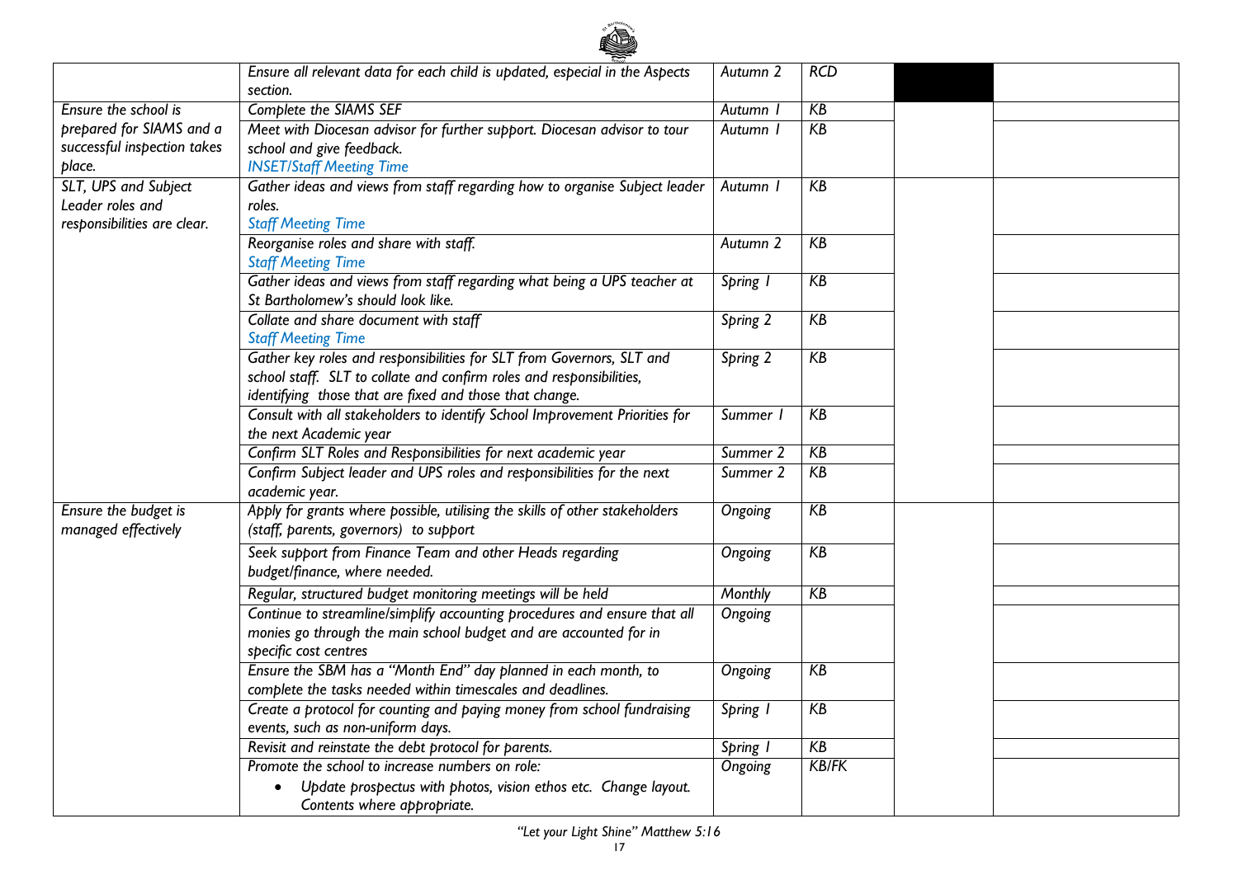

|                             | Ensure all relevant data for each child is updated, especial in the Aspects | Autumn 2            | RCD          |  |
|-----------------------------|-----------------------------------------------------------------------------|---------------------|--------------|--|
|                             | section.                                                                    |                     |              |  |
| Ensure the school is        | Complete the SIAMS SEF                                                      | Autumn              | KB           |  |
| prepared for SIAMS and a    | Meet with Diocesan advisor for further support. Diocesan advisor to tour    | <b>Autumn</b>       | KB           |  |
| successful inspection takes | school and give feedback.                                                   |                     |              |  |
| place.                      | <b>INSET/Staff Meeting Time</b>                                             |                     |              |  |
| SLT, UPS and Subject        | Gather ideas and views from staff regarding how to organise Subject leader  | Autumn I            | KB           |  |
| Leader roles and            | roles.                                                                      |                     |              |  |
| responsibilities are clear. | <b>Staff Meeting Time</b>                                                   |                     |              |  |
|                             | Reorganise roles and share with staff.                                      | Autumn 2            | KB           |  |
|                             | <b>Staff Meeting Time</b>                                                   |                     |              |  |
|                             | Gather ideas and views from staff regarding what being a UPS teacher at     | Spring I            | KB           |  |
|                             | St Bartholomew's should look like.                                          |                     |              |  |
|                             | Collate and share document with staff                                       | Spring 2            | KB           |  |
|                             | <b>Staff Meeting Time</b>                                                   |                     |              |  |
|                             | Gather key roles and responsibilities for SLT from Governors, SLT and       | Spring 2            | KB           |  |
|                             | school staff. SLT to collate and confirm roles and responsibilities,        |                     |              |  |
|                             | identifying those that are fixed and those that change.                     |                     |              |  |
|                             | Consult with all stakeholders to identify School Improvement Priorities for | Summer I            | KB           |  |
|                             | the next Academic year                                                      |                     |              |  |
|                             | Confirm SLT Roles and Responsibilities for next academic year               | Summer <sub>2</sub> | KB           |  |
|                             | Confirm Subject leader and UPS roles and responsibilities for the next      | Summer <sub>2</sub> | KB           |  |
|                             | academic year.                                                              |                     |              |  |
| Ensure the budget is        | Apply for grants where possible, utilising the skills of other stakeholders | Ongoing             | KB           |  |
| managed effectively         | (staff, parents, governors) to support                                      |                     |              |  |
|                             | Seek support from Finance Team and other Heads regarding                    | Ongoing             | KB           |  |
|                             | budget/finance, where needed.                                               |                     |              |  |
|                             | Regular, structured budget monitoring meetings will be held                 | <b>Monthly</b>      | KB           |  |
|                             | Continue to streamline/simplify accounting procedures and ensure that all   | Ongoing             |              |  |
|                             | monies go through the main school budget and are accounted for in           |                     |              |  |
|                             | specific cost centres                                                       |                     |              |  |
|                             | Ensure the SBM has a "Month End" day planned in each month, to              | Ongoing             | KB           |  |
|                             | complete the tasks needed within timescales and deadlines.                  |                     |              |  |
|                             | Create a protocol for counting and paying money from school fundraising     | Spring I            | KB           |  |
|                             | events, such as non-uniform days.                                           |                     |              |  |
|                             | Revisit and reinstate the debt protocol for parents.                        | Spring I            | KB           |  |
|                             | Promote the school to increase numbers on role:                             | Ongoing             | <b>KB/FK</b> |  |
|                             | Update prospectus with photos, vision ethos etc. Change layout.             |                     |              |  |
|                             | Contents where appropriate.                                                 |                     |              |  |
|                             |                                                                             |                     |              |  |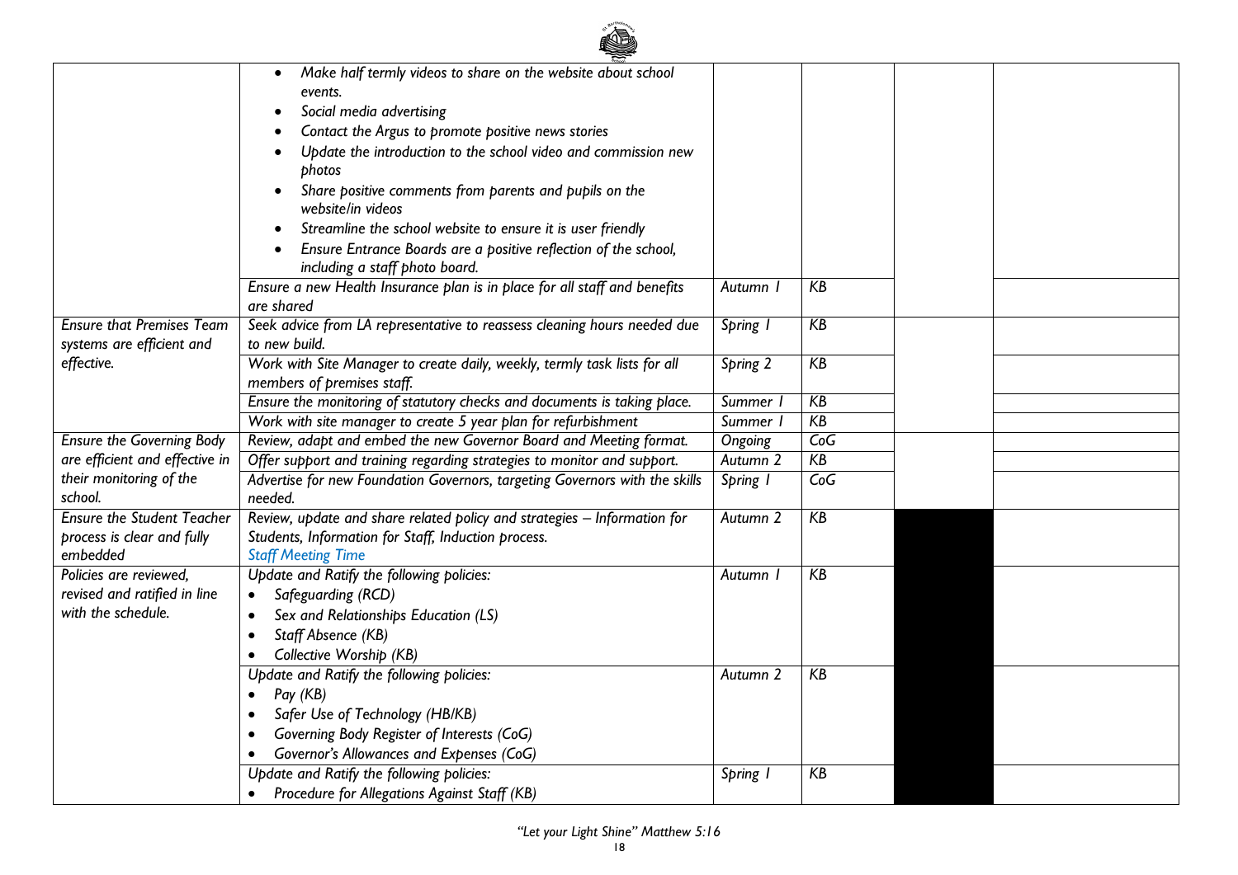|                                                                             | $\sum_{s \in K(s)}$                                                                                                                                                                                                                                                                                                                                                                                                                                                                                                                                                                     |                     |     |  |
|-----------------------------------------------------------------------------|-----------------------------------------------------------------------------------------------------------------------------------------------------------------------------------------------------------------------------------------------------------------------------------------------------------------------------------------------------------------------------------------------------------------------------------------------------------------------------------------------------------------------------------------------------------------------------------------|---------------------|-----|--|
|                                                                             | Make half termly videos to share on the website about school<br>٠<br>events.<br>Social media advertising<br>$\bullet$<br>Contact the Argus to promote positive news stories<br>Update the introduction to the school video and commission new<br>photos<br>Share positive comments from parents and pupils on the<br>website/in videos<br>Streamline the school website to ensure it is user friendly<br>Ensure Entrance Boards are a positive reflection of the school,<br>including a staff photo board.<br>Ensure a new Health Insurance plan is in place for all staff and benefits | Autumn I            | KB  |  |
|                                                                             | are shared                                                                                                                                                                                                                                                                                                                                                                                                                                                                                                                                                                              |                     |     |  |
| <b>Ensure that Premises Team</b><br>systems are efficient and               | Seek advice from LA representative to reassess cleaning hours needed due<br>to new build.                                                                                                                                                                                                                                                                                                                                                                                                                                                                                               | Spring 1            | KB  |  |
| effective.                                                                  | Work with Site Manager to create daily, weekly, termly task lists for all<br>members of premises staff.                                                                                                                                                                                                                                                                                                                                                                                                                                                                                 | Spring 2            | KB  |  |
|                                                                             | Ensure the monitoring of statutory checks and documents is taking place.                                                                                                                                                                                                                                                                                                                                                                                                                                                                                                                | <b>Summer</b>       | KB  |  |
|                                                                             | Work with site manager to create 5 year plan for refurbishment                                                                                                                                                                                                                                                                                                                                                                                                                                                                                                                          | Summer I            | KB  |  |
| <b>Ensure the Governing Body</b>                                            | Review, adapt and embed the new Governor Board and Meeting format.                                                                                                                                                                                                                                                                                                                                                                                                                                                                                                                      | Ongoing             | CoG |  |
| are efficient and effective in                                              | Offer support and training regarding strategies to monitor and support.                                                                                                                                                                                                                                                                                                                                                                                                                                                                                                                 | Autumn <sub>2</sub> | KB  |  |
| their monitoring of the<br>school.                                          | Advertise for new Foundation Governors, targeting Governors with the skills<br>needed.                                                                                                                                                                                                                                                                                                                                                                                                                                                                                                  | Spring 1            | CoG |  |
| <b>Ensure the Student Teacher</b><br>process is clear and fully<br>embedded | Review, update and share related policy and strategies - Information for<br>Students, Information for Staff, Induction process.<br><b>Staff Meeting Time</b>                                                                                                                                                                                                                                                                                                                                                                                                                            | Autumn 2            | KB  |  |
| Policies are reviewed,                                                      | Update and Ratify the following policies:                                                                                                                                                                                                                                                                                                                                                                                                                                                                                                                                               | Autumn I            | KB  |  |
| revised and ratified in line                                                | Safeguarding (RCD)<br>$\bullet$                                                                                                                                                                                                                                                                                                                                                                                                                                                                                                                                                         |                     |     |  |
| with the schedule.                                                          | Sex and Relationships Education (LS)<br>$\bullet$                                                                                                                                                                                                                                                                                                                                                                                                                                                                                                                                       |                     |     |  |
|                                                                             | Staff Absence (KB)<br>$\bullet$                                                                                                                                                                                                                                                                                                                                                                                                                                                                                                                                                         |                     |     |  |
|                                                                             | Collective Worship (KB)                                                                                                                                                                                                                                                                                                                                                                                                                                                                                                                                                                 |                     |     |  |
|                                                                             | Update and Ratify the following policies:                                                                                                                                                                                                                                                                                                                                                                                                                                                                                                                                               | Autumn 2            | KB  |  |
|                                                                             | Pay (KB)<br>$\bullet$                                                                                                                                                                                                                                                                                                                                                                                                                                                                                                                                                                   |                     |     |  |
|                                                                             | Safer Use of Technology (HB/KB)                                                                                                                                                                                                                                                                                                                                                                                                                                                                                                                                                         |                     |     |  |
|                                                                             | Governing Body Register of Interests (CoG)                                                                                                                                                                                                                                                                                                                                                                                                                                                                                                                                              |                     |     |  |
|                                                                             | Governor's Allowances and Expenses (CoG)                                                                                                                                                                                                                                                                                                                                                                                                                                                                                                                                                |                     |     |  |
|                                                                             | Update and Ratify the following policies:                                                                                                                                                                                                                                                                                                                                                                                                                                                                                                                                               | Spring I            | KB  |  |
|                                                                             | Procedure for Allegations Against Staff (KB)                                                                                                                                                                                                                                                                                                                                                                                                                                                                                                                                            |                     |     |  |

《 不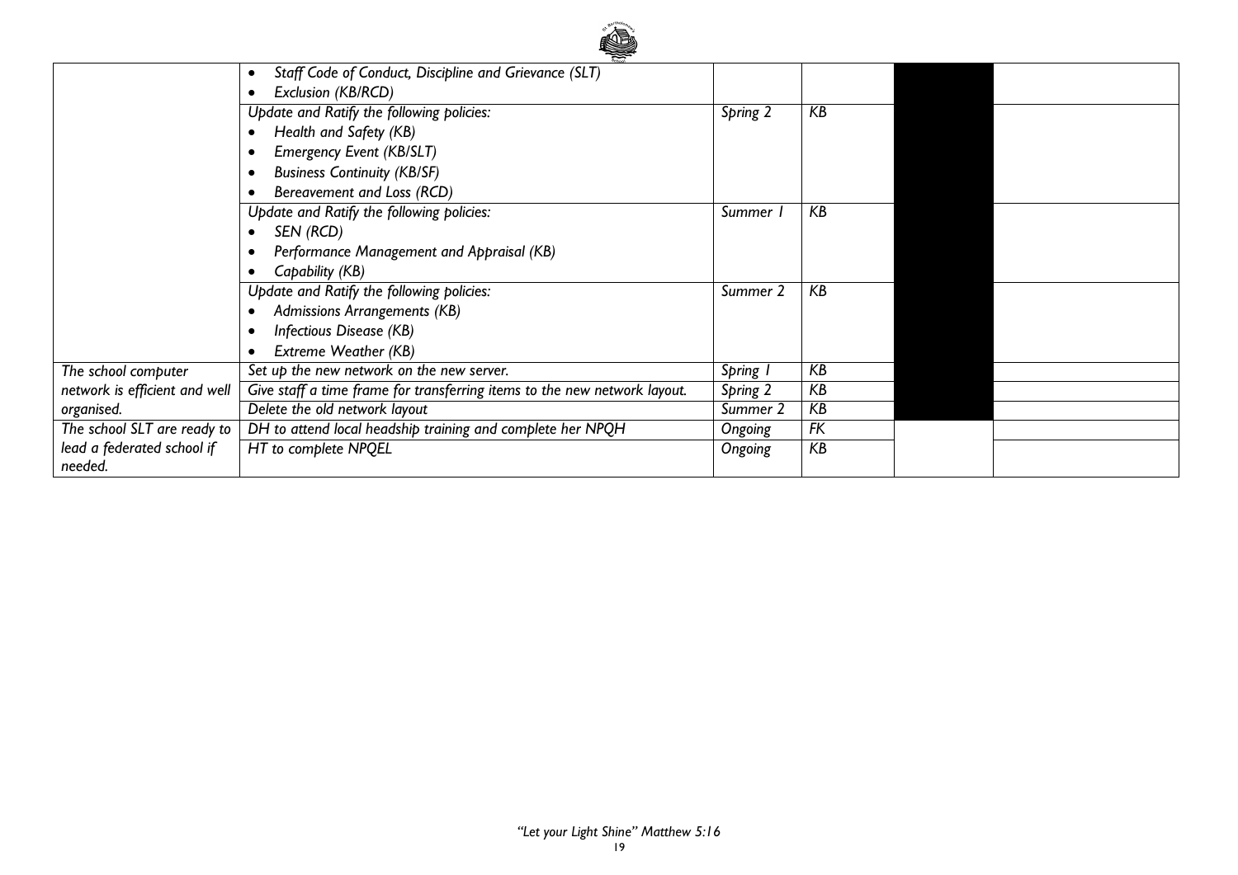

|                               | Staff Code of Conduct, Discipline and Grievance (SLT)                     |          |    |  |
|-------------------------------|---------------------------------------------------------------------------|----------|----|--|
|                               | Exclusion (KB/RCD)                                                        |          |    |  |
|                               | Update and Ratify the following policies:                                 | Spring 2 | KB |  |
|                               | Health and Safety (KB)                                                    |          |    |  |
|                               | <b>Emergency Event (KB/SLT)</b>                                           |          |    |  |
|                               | <b>Business Continuity (KB/SF)</b>                                        |          |    |  |
|                               | Bereavement and Loss (RCD)                                                |          |    |  |
|                               | Update and Ratify the following policies:                                 | Summer 1 | KB |  |
|                               | SEN (RCD)                                                                 |          |    |  |
|                               | Performance Management and Appraisal (KB)                                 |          |    |  |
|                               | Capability (KB)                                                           |          |    |  |
|                               | Update and Ratify the following policies:                                 | Summer 2 | KB |  |
|                               | Admissions Arrangements (KB)                                              |          |    |  |
|                               | Infectious Disease (KB)                                                   |          |    |  |
|                               | Extreme Weather (KB)                                                      |          |    |  |
| The school computer           | Set up the new network on the new server.                                 | Spring 1 | KB |  |
| network is efficient and well | Give staff a time frame for transferring items to the new network layout. | Spring 2 | KB |  |
| organised.                    | Delete the old network layout                                             | Summer 2 | KB |  |
| The school SLT are ready to   | DH to attend local headship training and complete her NPQH                | Ongoing  | FK |  |
| lead a federated school if    | HT to complete NPQEL                                                      | Ongoing  | KB |  |
| needed.                       |                                                                           |          |    |  |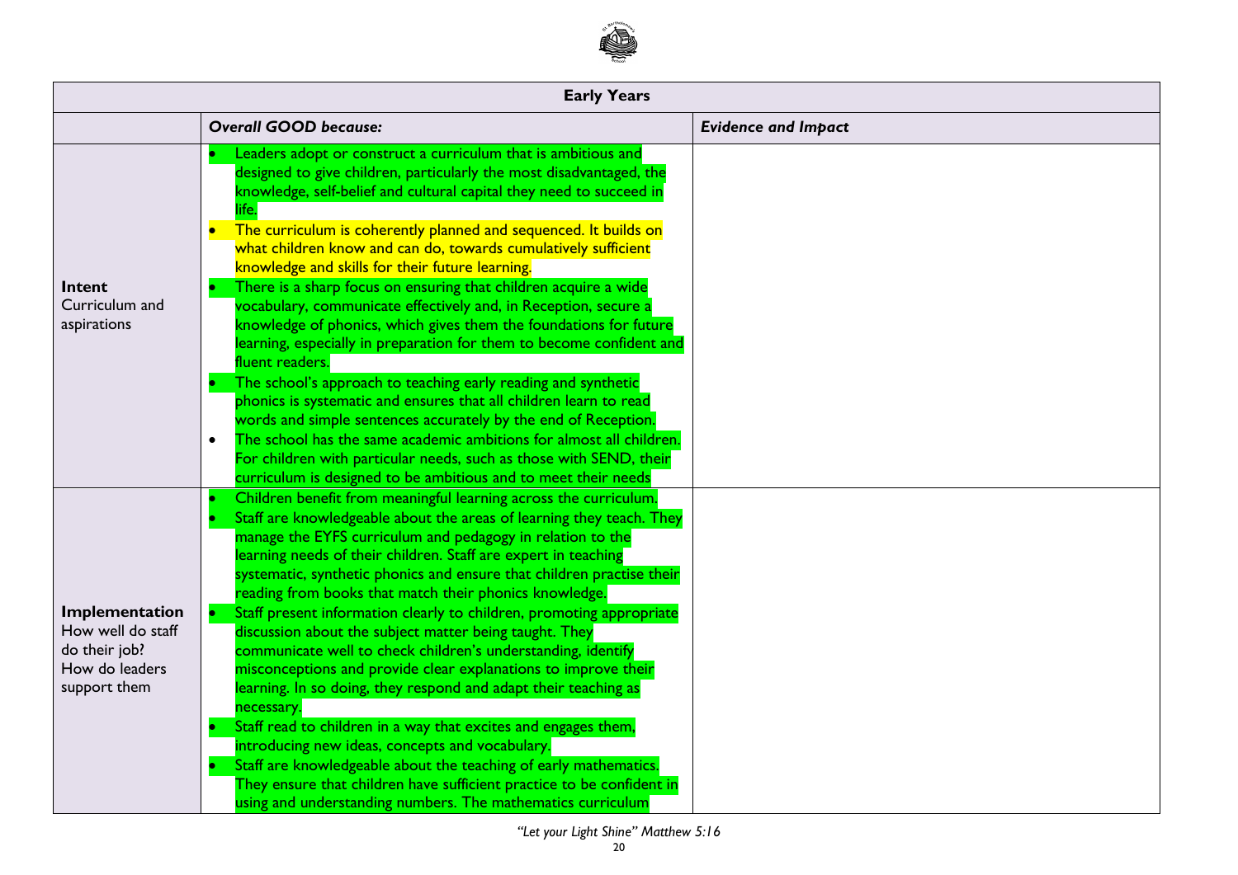

|                                                                                        | <b>Early Years</b>                                                                                                                                                                                                                                                                                                                                                                                                                                                                                                                                                                                                                                                                                                                                                                                                                                                                                                                                                                                                                                                                                                                                          |                            |
|----------------------------------------------------------------------------------------|-------------------------------------------------------------------------------------------------------------------------------------------------------------------------------------------------------------------------------------------------------------------------------------------------------------------------------------------------------------------------------------------------------------------------------------------------------------------------------------------------------------------------------------------------------------------------------------------------------------------------------------------------------------------------------------------------------------------------------------------------------------------------------------------------------------------------------------------------------------------------------------------------------------------------------------------------------------------------------------------------------------------------------------------------------------------------------------------------------------------------------------------------------------|----------------------------|
|                                                                                        | <b>Overall GOOD because:</b>                                                                                                                                                                                                                                                                                                                                                                                                                                                                                                                                                                                                                                                                                                                                                                                                                                                                                                                                                                                                                                                                                                                                | <b>Evidence and Impact</b> |
| Intent<br>Curriculum and<br>aspirations                                                | Leaders adopt or construct a curriculum that is ambitious and<br>designed to give children, particularly the most disadvantaged, the<br>knowledge, self-belief and cultural capital they need to succeed in<br>The curriculum is coherently planned and sequenced. It builds on<br>$\bullet$<br>what children know and can do, towards cumulatively sufficient<br>knowledge and skills for their future learning.<br>There is a sharp focus on ensuring that children acquire a wide<br>vocabulary, communicate effectively and, in Reception, secure a<br>knowledge of phonics, which gives them the foundations for future<br>learning, especially in preparation for them to become confident and<br>fluent readers.<br>The school's approach to teaching early reading and synthetic<br>phonics is systematic and ensures that all children learn to read<br>words and simple sentences accurately by the end of Reception.<br>The school has the same academic ambitions for almost all children.<br>$\bullet$<br>For children with particular needs, such as those with SEND, their<br>curriculum is designed to be ambitious and to meet their needs |                            |
| Implementation<br>How well do staff<br>do their job?<br>How do leaders<br>support them | Children benefit from meaningful learning across the curriculum.<br>Staff are knowledgeable about the areas of learning they teach. They<br>manage the EYFS curriculum and pedagogy in relation to the<br>learning needs of their children. Staff are expert in teaching<br>systematic, synthetic phonics and ensure that children practise their<br>reading from books that match their phonics knowledge.<br>Staff present information clearly to children, promoting appropriate<br>discussion about the subject matter being taught. They<br>communicate well to check children's understanding, identify<br>misconceptions and provide clear explanations to improve their<br>learning. In so doing, they respond and adapt their teaching as<br>necessary.<br>Staff read to children in a way that excites and engages them,<br>introducing new ideas, concepts and vocabulary.<br>Staff are knowledgeable about the teaching of early mathematics.<br>They ensure that children have sufficient practice to be confident in<br>using and understanding numbers. The mathematics curriculum                                                           |                            |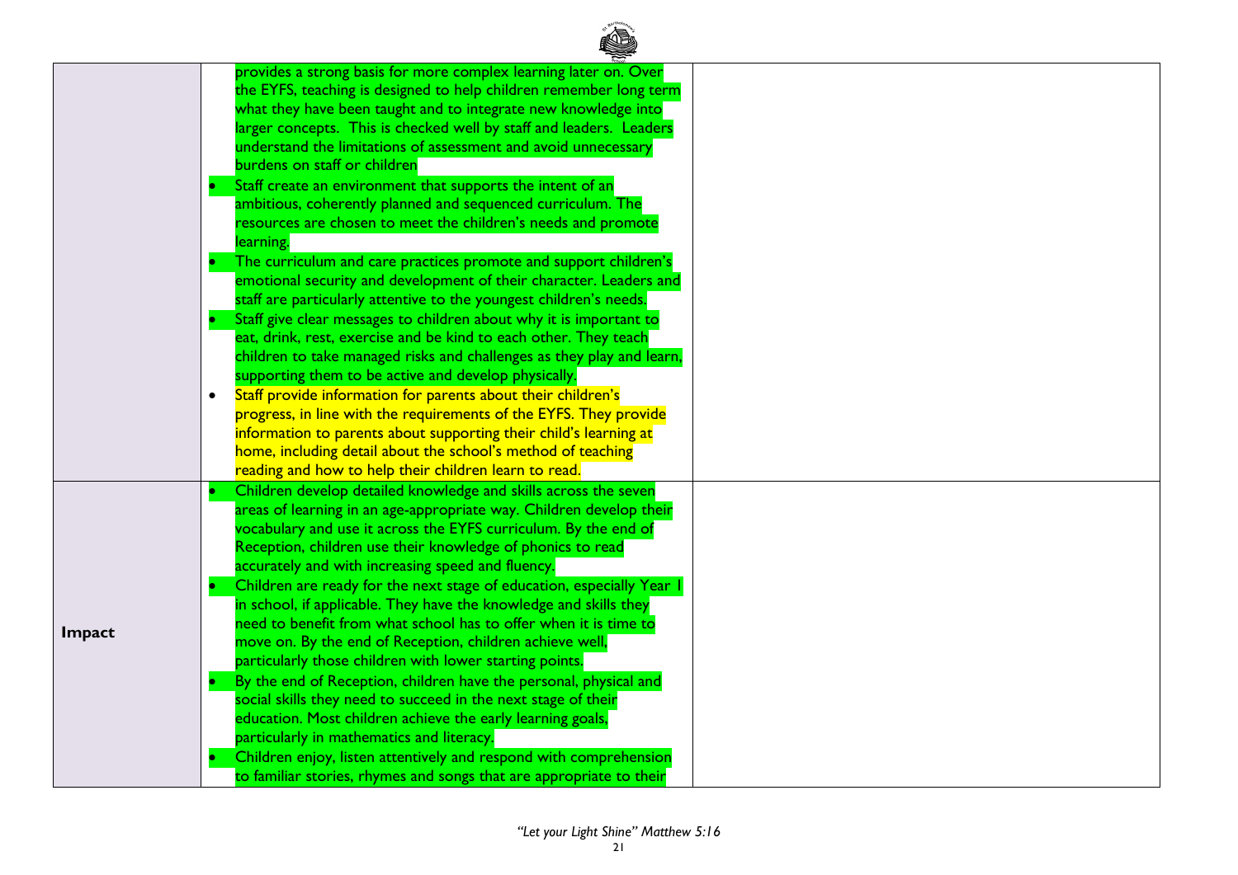|        | provides a strong basis for more complex learning later on. Over<br>the EYFS, teaching is designed to help children remember long term<br>what they have been taught and to integrate new knowledge into<br>larger concepts. This is checked well by staff and leaders. Leaders<br>understand the limitations of assessment and avoid unnecessary<br>burdens on staff or children<br>Staff create an environment that supports the intent of an<br>ambitious, coherently planned and sequenced curriculum. The<br>resources are chosen to meet the children's needs and promote<br>learning.<br>The curriculum and care practices promote and support children's<br>emotional security and development of their character. Leaders and<br>staff are particularly attentive to the youngest children's needs.<br>Staff give clear messages to children about why it is important to<br>eat, drink, rest, exercise and be kind to each other. They teach<br>children to take managed risks and challenges as they play and learn,<br>supporting them to be active and develop physically.<br>Staff provide information for parents about their children's<br>$\bullet$<br>progress, in line with the requirements of the EYFS. They provide<br>information to parents about supporting their child's learning at<br>home, including detail about the school's method of teaching<br>reading and how to help their children learn to read. |  |
|--------|-----------------------------------------------------------------------------------------------------------------------------------------------------------------------------------------------------------------------------------------------------------------------------------------------------------------------------------------------------------------------------------------------------------------------------------------------------------------------------------------------------------------------------------------------------------------------------------------------------------------------------------------------------------------------------------------------------------------------------------------------------------------------------------------------------------------------------------------------------------------------------------------------------------------------------------------------------------------------------------------------------------------------------------------------------------------------------------------------------------------------------------------------------------------------------------------------------------------------------------------------------------------------------------------------------------------------------------------------------------------------------------------------------------------------------------------|--|
| Impact | Children develop detailed knowledge and skills across the seven<br>areas of learning in an age-appropriate way. Children develop their<br>vocabulary and use it across the EYFS curriculum. By the end of<br>Reception, children use their knowledge of phonics to read<br>accurately and with increasing speed and fluency.<br>Children are ready for the next stage of education, especially Year  <br>in school, if applicable. They have the knowledge and skills they<br>need to benefit from what school has to offer when it is time to<br>move on. By the end of Reception, children achieve well,<br>particularly those children with lower starting points.<br>By the end of Reception, children have the personal, physical and<br>social skills they need to succeed in the next stage of their<br>education. Most children achieve the early learning goals,<br>particularly in mathematics and literacy.<br>Children enjoy, listen attentively and respond with comprehension<br>to familiar stories, rhymes and songs that are appropriate to their                                                                                                                                                                                                                                                                                                                                                                      |  |

**CALLER**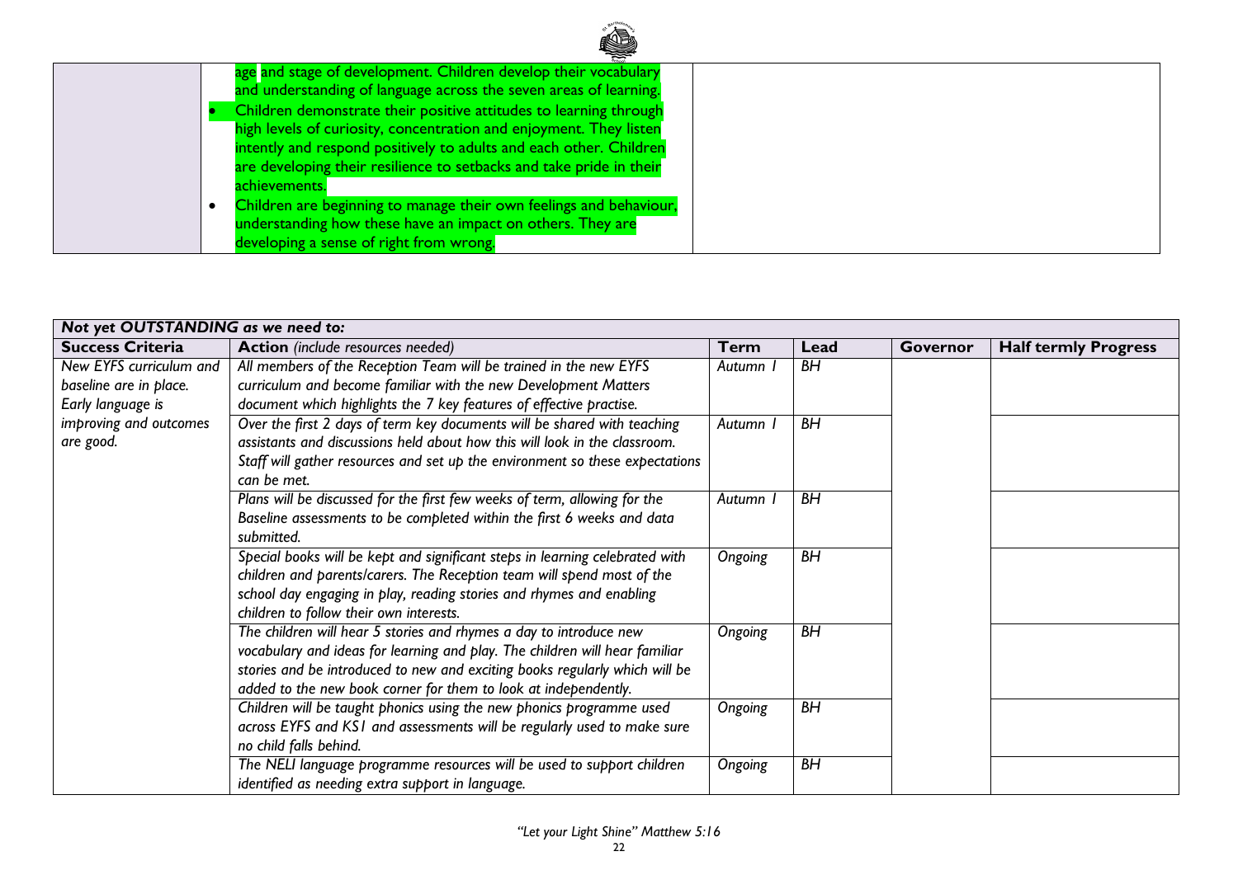|  | ▚                                                                   |  |
|--|---------------------------------------------------------------------|--|
|  | age and stage of development. Children develop their vocabulary     |  |
|  | and understanding of language across the seven areas of learning.   |  |
|  | Children demonstrate their positive attitudes to learning through   |  |
|  | high levels of curiosity, concentration and enjoyment. They listen  |  |
|  | intently and respond positively to adults and each other. Children  |  |
|  | are developing their resilience to setbacks and take pride in their |  |
|  | achievements.                                                       |  |
|  | Children are beginning to manage their own feelings and behaviour,  |  |
|  | understanding how these have an impact on others. They are          |  |
|  | developing a sense of right from wrong.                             |  |

| Not yet OUTSTANDING as we need to: |                                                                              |         |           |          |                             |
|------------------------------------|------------------------------------------------------------------------------|---------|-----------|----------|-----------------------------|
| <b>Success Criteria</b>            | <b>Action</b> (include resources needed)                                     | Term    | Lead      | Governor | <b>Half termly Progress</b> |
| New EYFS curriculum and            | All members of the Reception Team will be trained in the new EYFS            | Autumn  | <b>BH</b> |          |                             |
| baseline are in place.             | curriculum and become familiar with the new Development Matters              |         |           |          |                             |
| Early language is                  | document which highlights the 7 key features of effective practise.          |         |           |          |                             |
| improving and outcomes             | Over the first 2 days of term key documents will be shared with teaching     | Autumn  | <b>BH</b> |          |                             |
| are good.                          | assistants and discussions held about how this will look in the classroom.   |         |           |          |                             |
|                                    | Staff will gather resources and set up the environment so these expectations |         |           |          |                             |
|                                    | can be met.                                                                  |         |           |          |                             |
|                                    | Plans will be discussed for the first few weeks of term, allowing for the    | Autumn  | ΒH        |          |                             |
|                                    | Baseline assessments to be completed within the first 6 weeks and data       |         |           |          |                             |
|                                    | submitted.                                                                   |         |           |          |                             |
|                                    | Special books will be kept and significant steps in learning celebrated with | Ongoing | <b>BH</b> |          |                             |
|                                    | children and parents/carers. The Reception team will spend most of the       |         |           |          |                             |
|                                    | school day engaging in play, reading stories and rhymes and enabling         |         |           |          |                             |
|                                    | children to follow their own interests.                                      |         |           |          |                             |
|                                    | The children will hear 5 stories and rhymes a day to introduce new           | Ongoing | BH        |          |                             |
|                                    | vocabulary and ideas for learning and play. The children will hear familiar  |         |           |          |                             |
|                                    | stories and be introduced to new and exciting books regularly which will be  |         |           |          |                             |
|                                    | added to the new book corner for them to look at independently.              |         |           |          |                             |
|                                    | Children will be taught phonics using the new phonics programme used         | Ongoing | <b>BH</b> |          |                             |
|                                    | across EYFS and KS1 and assessments will be regularly used to make sure      |         |           |          |                             |
|                                    | no child falls behind.                                                       |         |           |          |                             |
|                                    | The NELI language programme resources will be used to support children       | Ongoing | <b>BH</b> |          |                             |
|                                    | identified as needing extra support in language.                             |         |           |          |                             |